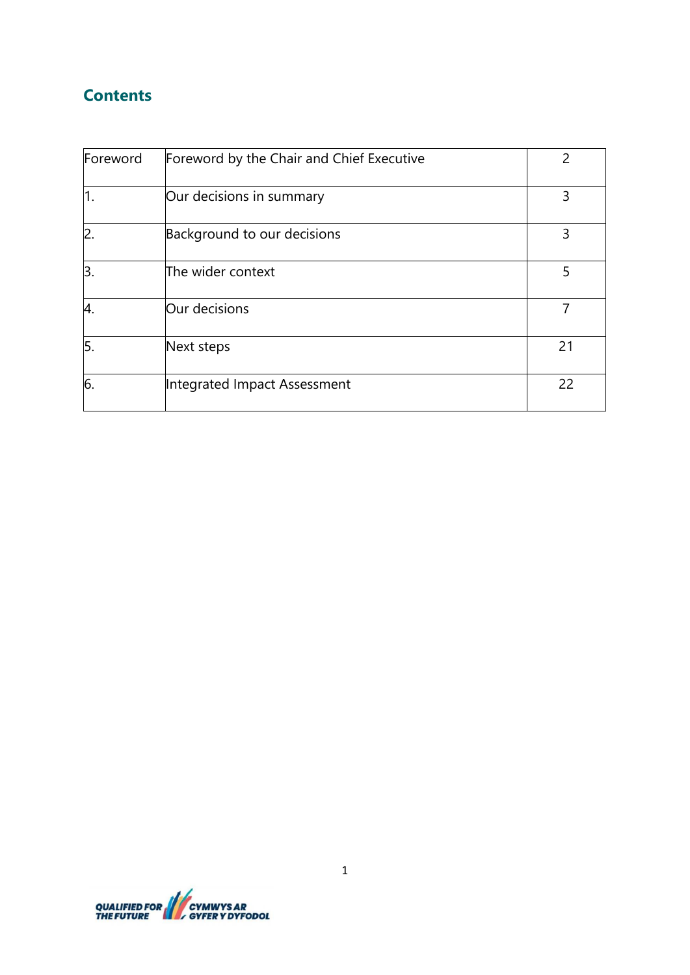# **Contents**

| Foreword       | Foreword by the Chair and Chief Executive |    |
|----------------|-------------------------------------------|----|
| 1.             | Our decisions in summary                  | 3  |
| $\overline{2}$ | Background to our decisions               | 3  |
| Β.             | The wider context                         | 5  |
| 4.             | Our decisions                             |    |
| 5.             | Next steps                                | 21 |
| 6.             | Integrated Impact Assessment              | 22 |

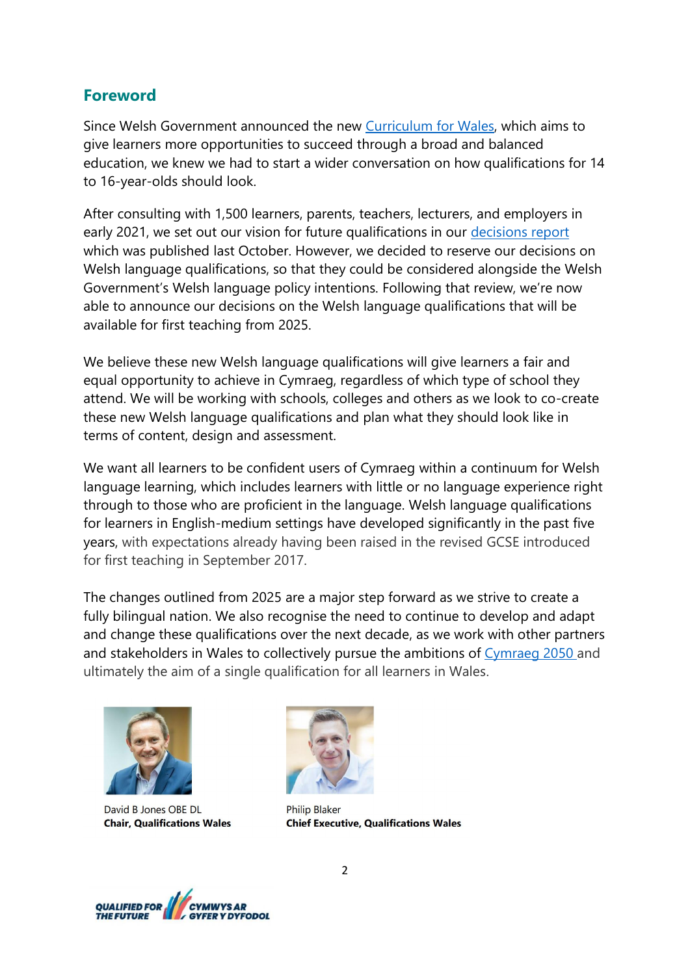## **Foreword**

Since Welsh Government announced the new [Curriculum for Wales,](https://hwb.gov.wales/curriculum-for-wales/) which aims to give learners more opportunities to succeed through a broad and balanced education, we knew we had to start a wider conversation on how qualifications for 14 to 16-year-olds should look.

After consulting with 1,500 learners, parents, teachers, lecturers, and employers in early 2021, we set out our vision for future qualifications in our [decisions report](https://qualificationswales.org/media/7982/qualified-for-the-future-our-decisions.pdf) which was published last October. However, we decided to reserve our decisions on Welsh language qualifications, so that they could be considered alongside the Welsh Government's Welsh language policy intentions. Following that review, we're now able to announce our decisions on the Welsh language qualifications that will be available for first teaching from 2025.

We believe these new Welsh language qualifications will give learners a fair and equal opportunity to achieve in Cymraeg, regardless of which type of school they attend. We will be working with schools, colleges and others as we look to co-create these new Welsh language qualifications and plan what they should look like in terms of content, design and assessment.

We want all learners to be confident users of Cymraeg within a continuum for Welsh language learning, which includes learners with little or no language experience right through to those who are proficient in the language. Welsh language qualifications for learners in English-medium settings have developed significantly in the past five years, with expectations already having been raised in the revised GCSE introduced for first teaching in September 2017.

The changes outlined from 2025 are a major step forward as we strive to create a fully bilingual nation. We also recognise the need to continue to develop and adapt and change these qualifications over the next decade, as we work with other partners and stakeholders in Wales to collectively pursue the ambitions of [Cymraeg 2050 a](https://gov.wales/cymraeg-2050-welsh-language-strategy)nd ultimately the aim of a single qualification for all learners in Wales.



David B Jones OBE DL **Chair. Qualifications Wales** 



**Philip Blaker Chief Executive, Qualifications Wales** 

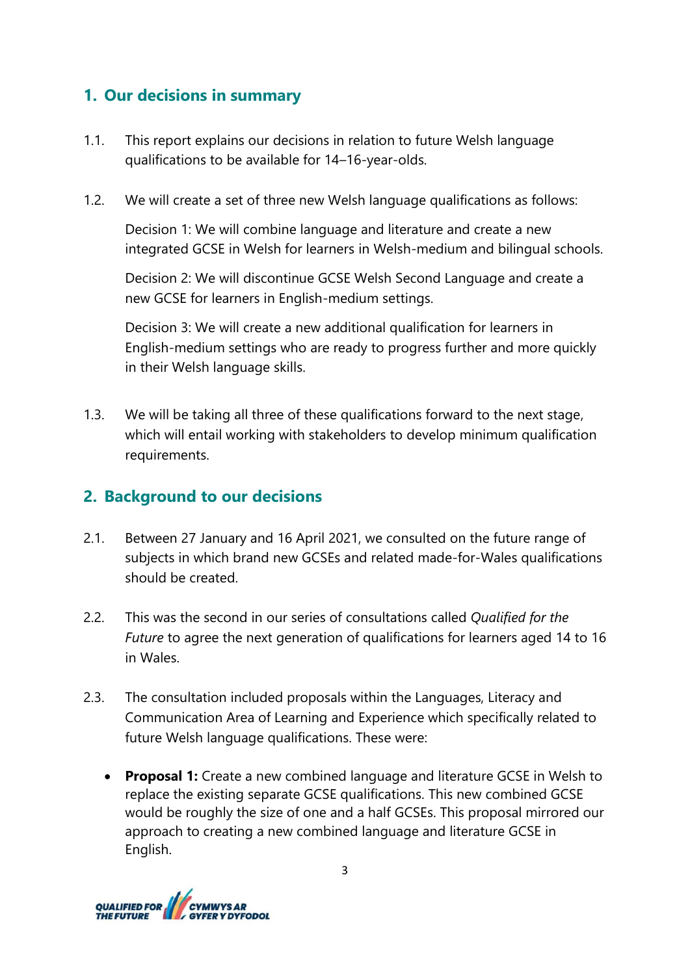## **1. Our decisions in summary**

- 1.1. This report explains our decisions in relation to future Welsh language qualifications to be available for 14–16-year-olds.
- 1.2. We will create a set of three new Welsh language qualifications as follows:

Decision 1: We will combine language and literature and create a new integrated GCSE in Welsh for learners in Welsh-medium and bilingual schools.

Decision 2: We will discontinue GCSE Welsh Second Language and create a new GCSE for learners in English-medium settings.

Decision 3: We will create a new additional qualification for learners in English-medium settings who are ready to progress further and more quickly in their Welsh language skills.

1.3. We will be taking all three of these qualifications forward to the next stage, which will entail working with stakeholders to develop minimum qualification requirements.

## **2. Background to our decisions**

- 2.1. Between 27 January and 16 April 2021, we consulted on the future range of subjects in which brand new GCSEs and related made-for-Wales qualifications should be created.
- 2.2. This was the second in our series of consultations called *Qualified for the Future* to agree the next generation of qualifications for learners aged 14 to 16 in Wales.
- 2.3. The consultation included proposals within the Languages, Literacy and Communication Area of Learning and Experience which specifically related to future Welsh language qualifications. These were:
	- **Proposal 1:** Create a new combined language and literature GCSE in Welsh to replace the existing separate GCSE qualifications. This new combined GCSE would be roughly the size of one and a half GCSEs. This proposal mirrored our approach to creating a new combined language and literature GCSE in English.

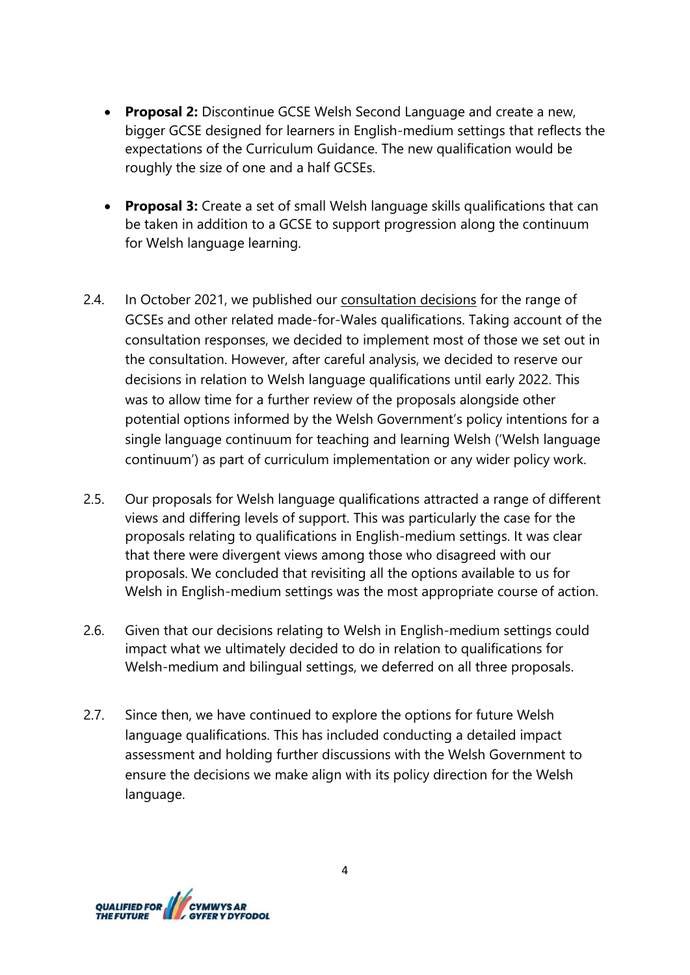- **Proposal 2:** Discontinue GCSE Welsh Second Language and create a new, bigger GCSE designed for learners in English-medium settings that reflects the expectations of the Curriculum Guidance. The new qualification would be roughly the size of one and a half GCSEs.
- **Proposal 3:** Create a set of small Welsh language skills qualifications that can be taken in addition to a GCSE to support progression along the continuum for Welsh language learning.
- 2.4. In October 2021, we published our [consultation decisions](https://qualificationswales.org/media/7982/qualified-for-the-future-our-decisions.pdf) for the range of GCSEs and other related made-for-Wales qualifications. Taking account of the consultation responses, we decided to implement most of those we set out in the consultation. However, after careful analysis, we decided to reserve our decisions in relation to Welsh language qualifications until early 2022. This was to allow time for a further review of the proposals alongside other potential options informed by the Welsh Government's policy intentions for a single language continuum for teaching and learning Welsh ('Welsh language continuum') as part of curriculum implementation or any wider policy work.
- 2.5. Our proposals for Welsh language qualifications attracted a range of different views and differing levels of support. This was particularly the case for the proposals relating to qualifications in English-medium settings. It was clear that there were divergent views among those who disagreed with our proposals. We concluded that revisiting all the options available to us for Welsh in English-medium settings was the most appropriate course of action.
- 2.6. Given that our decisions relating to Welsh in English-medium settings could impact what we ultimately decided to do in relation to qualifications for Welsh-medium and bilingual settings, we deferred on all three proposals.
- 2.7. Since then, we have continued to explore the options for future Welsh language qualifications. This has included conducting a detailed impact assessment and holding further discussions with the Welsh Government to ensure the decisions we make align with its policy direction for the Welsh language.

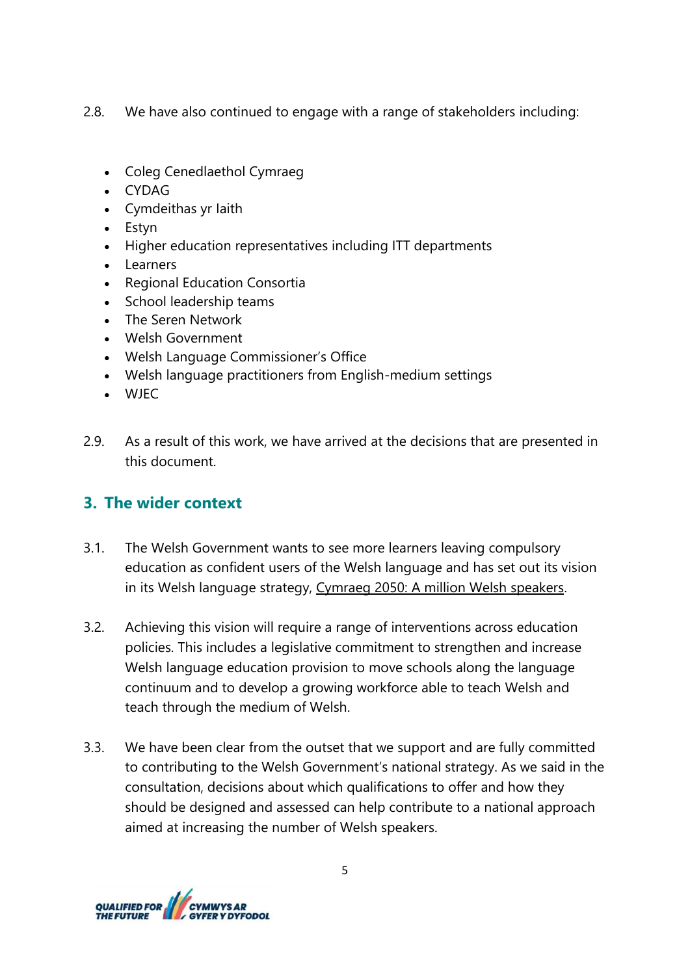2.8. We have also continued to engage with a range of stakeholders including:

- Coleg Cenedlaethol Cymraeg
- CYDAG
- Cymdeithas yr Iaith
- Estyn
- Higher education representatives including ITT departments
- Learners
- Regional Education Consortia
- School leadership teams
- The Seren Network
- Welsh Government
- Welsh Language Commissioner's Office
- Welsh language practitioners from English-medium settings
- WJEC
- 2.9. As a result of this work, we have arrived at the decisions that are presented in this document.

## **3. The wider context**

- 3.1. The Welsh Government wants to see more learners leaving compulsory education as confident users of the Welsh language and has set out its vision in its Welsh language strategy, Cymraeg 2050: A [million Welsh speakers.](https://gov.wales/sites/default/files/publications/2018-12/cymraeg-2050-welsh-language-strategy.pdf)
- 3.2. Achieving this vision will require a range of interventions across education policies. This includes a legislative commitment to strengthen and increase Welsh language education provision to move schools along the language continuum and to develop a growing workforce able to teach Welsh and teach through the medium of Welsh.
- 3.3. We have been clear from the outset that we support and are fully committed to contributing to the Welsh Government's national strategy. As we said in the consultation, decisions about which qualifications to offer and how they should be designed and assessed can help contribute to a national approach aimed at increasing the number of Welsh speakers.

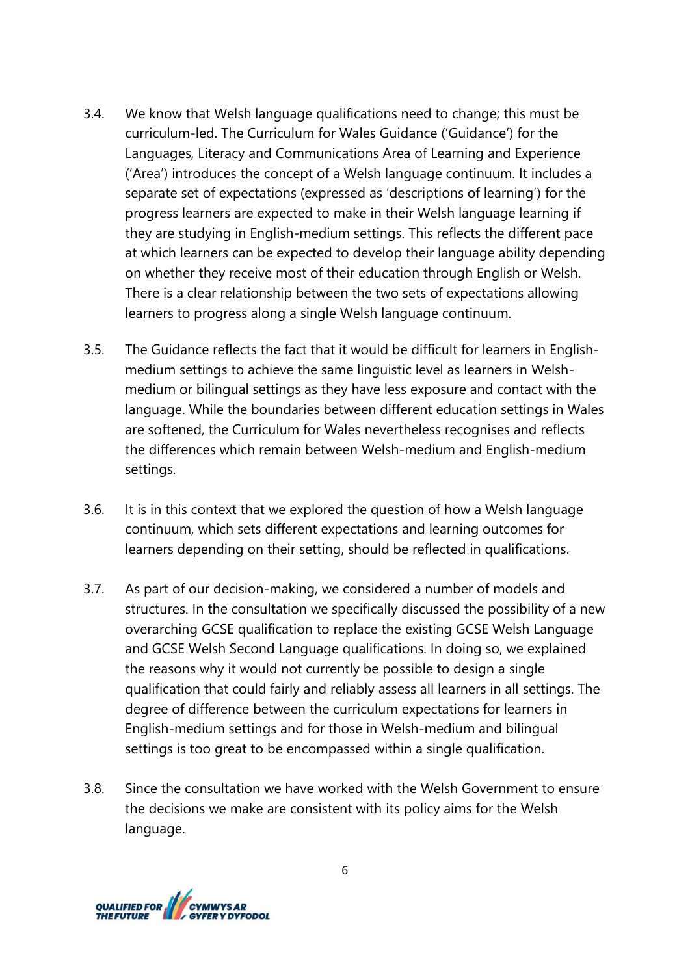- 3.4. We know that Welsh language qualifications need to change; this must be curriculum-led. The Curriculum for Wales Guidance ('Guidance') for the Languages, Literacy and Communications Area of Learning and Experience ('Area') introduces the concept of a Welsh language continuum. It includes a separate set of expectations (expressed as 'descriptions of learning') for the progress learners are expected to make in their Welsh language learning if they are studying in English-medium settings. This reflects the different pace at which learners can be expected to develop their language ability depending on whether they receive most of their education through English or Welsh. There is a clear relationship between the two sets of expectations allowing learners to progress along a single Welsh language continuum.
- 3.5. The Guidance reflects the fact that it would be difficult for learners in Englishmedium settings to achieve the same linguistic level as learners in Welshmedium or bilingual settings as they have less exposure and contact with the language. While the boundaries between different education settings in Wales are softened, the Curriculum for Wales nevertheless recognises and reflects the differences which remain between Welsh-medium and English-medium settings.
- 3.6. It is in this context that we explored the question of how a Welsh language continuum, which sets different expectations and learning outcomes for learners depending on their setting, should be reflected in qualifications.
- 3.7. As part of our decision-making, we considered a number of models and structures. In the consultation we specifically discussed the possibility of a new overarching GCSE qualification to replace the existing GCSE Welsh Language and GCSE Welsh Second Language qualifications. In doing so, we explained the reasons why it would not currently be possible to design a single qualification that could fairly and reliably assess all learners in all settings. The degree of difference between the curriculum expectations for learners in English-medium settings and for those in Welsh-medium and bilingual settings is too great to be encompassed within a single qualification.
- 3.8. Since the consultation we have worked with the Welsh Government to ensure the decisions we make are consistent with its policy aims for the Welsh language.

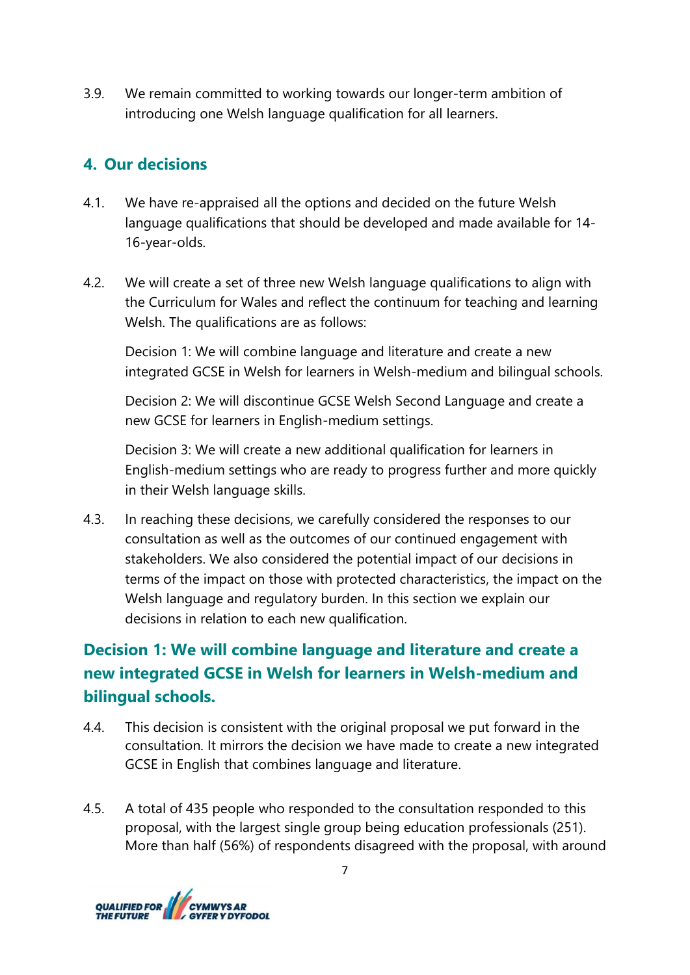3.9. We remain committed to working towards our longer-term ambition of introducing one Welsh language qualification for all learners.

# **4. Our decisions**

- 4.1. We have re-appraised all the options and decided on the future Welsh language qualifications that should be developed and made available for 14- 16-year-olds.
- 4.2. We will create a set of three new Welsh language qualifications to align with the Curriculum for Wales and reflect the continuum for teaching and learning Welsh. The qualifications are as follows:

Decision 1: We will combine language and literature and create a new integrated GCSE in Welsh for learners in Welsh-medium and bilingual schools.

Decision 2: We will discontinue GCSE Welsh Second Language and create a new GCSE for learners in English-medium settings.

Decision 3: We will create a new additional qualification for learners in English-medium settings who are ready to progress further and more quickly in their Welsh language skills.

4.3. In reaching these decisions, we carefully considered the responses to our consultation as well as the outcomes of our continued engagement with stakeholders. We also considered the potential impact of our decisions in terms of the impact on those with protected characteristics, the impact on the Welsh language and regulatory burden. In this section we explain our decisions in relation to each new qualification.

# **Decision 1: We will combine language and literature and create a new integrated GCSE in Welsh for learners in Welsh-medium and bilingual schools.**

- 4.4. This decision is consistent with the original proposal we put forward in the consultation. It mirrors the decision we have made to create a new integrated GCSE in English that combines language and literature.
- 4.5. A total of 435 people who responded to the consultation responded to this proposal, with the largest single group being education professionals (251). More than half (56%) of respondents disagreed with the proposal, with around

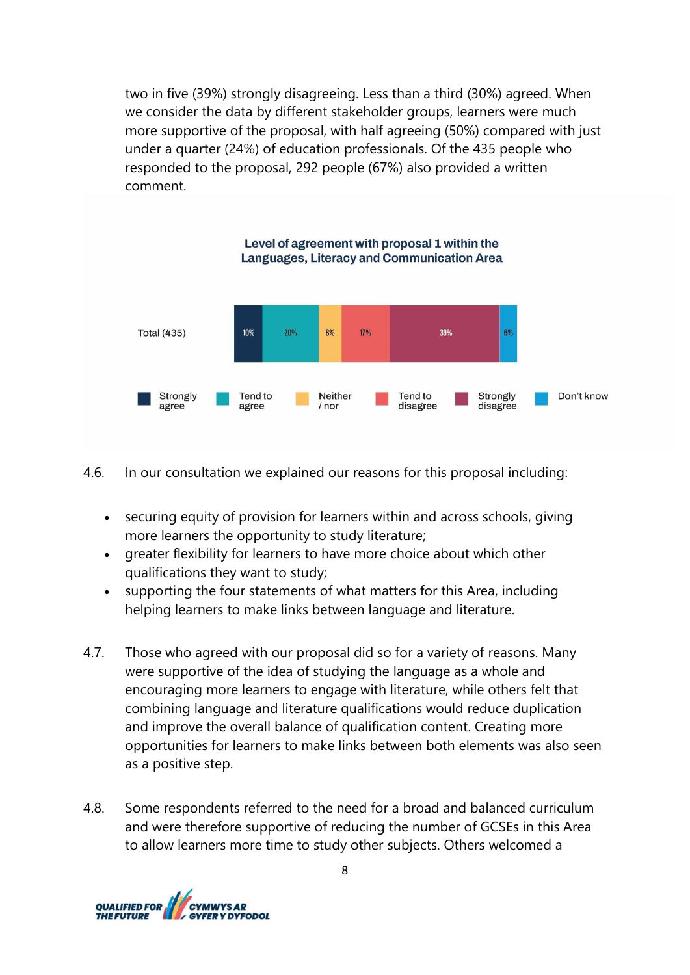two in five (39%) strongly disagreeing. Less than a third (30%) agreed. When we consider the data by different stakeholder groups, learners were much more supportive of the proposal, with half agreeing (50%) compared with just under a quarter (24%) of education professionals. Of the 435 people who responded to the proposal, 292 people (67%) also provided a written comment.



4.6. In our consultation we explained our reasons for this proposal including:

- securing equity of provision for learners within and across schools, giving more learners the opportunity to study literature;
- greater flexibility for learners to have more choice about which other qualifications they want to study;
- supporting the four statements of what matters for this Area, including helping learners to make links between language and literature.
- 4.7. Those who agreed with our proposal did so for a variety of reasons. Many were supportive of the idea of studying the language as a whole and encouraging more learners to engage with literature, while others felt that combining language and literature qualifications would reduce duplication and improve the overall balance of qualification content. Creating more opportunities for learners to make links between both elements was also seen as a positive step.
- 4.8. Some respondents referred to the need for a broad and balanced curriculum and were therefore supportive of reducing the number of GCSEs in this Area to allow learners more time to study other subjects. Others welcomed a

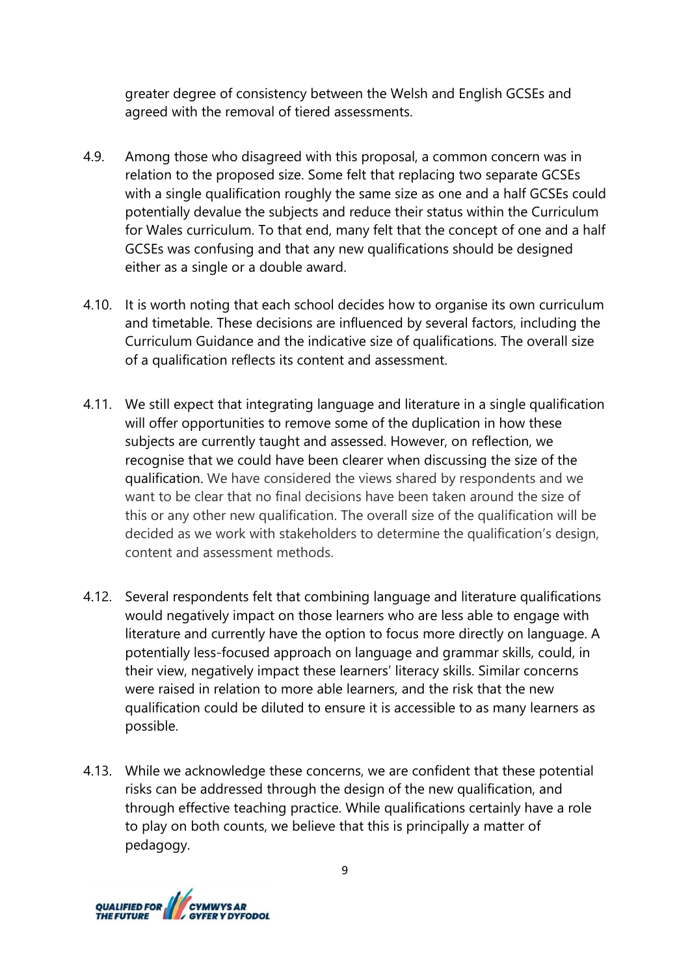greater degree of consistency between the Welsh and English GCSEs and agreed with the removal of tiered assessments.

- 4.9. Among those who disagreed with this proposal, a common concern was in relation to the proposed size. Some felt that replacing two separate GCSEs with a single qualification roughly the same size as one and a half GCSEs could potentially devalue the subjects and reduce their status within the Curriculum for Wales curriculum. To that end, many felt that the concept of one and a half GCSEs was confusing and that any new qualifications should be designed either as a single or a double award.
- 4.10. It is worth noting that each school decides how to organise its own curriculum and timetable. These decisions are influenced by several factors, including the Curriculum Guidance and the indicative size of qualifications. The overall size of a qualification reflects its content and assessment.
- 4.11. We still expect that integrating language and literature in a single qualification will offer opportunities to remove some of the duplication in how these subjects are currently taught and assessed. However, on reflection, we recognise that we could have been clearer when discussing the size of the qualification. We have considered the views shared by respondents and we want to be clear that no final decisions have been taken around the size of this or any other new qualification. The overall size of the qualification will be decided as we work with stakeholders to determine the qualification's design, content and assessment methods.
- 4.12. Several respondents felt that combining language and literature qualifications would negatively impact on those learners who are less able to engage with literature and currently have the option to focus more directly on language. A potentially less-focused approach on language and grammar skills, could, in their view, negatively impact these learners' literacy skills. Similar concerns were raised in relation to more able learners, and the risk that the new qualification could be diluted to ensure it is accessible to as many learners as possible.
- 4.13. While we acknowledge these concerns, we are confident that these potential risks can be addressed through the design of the new qualification, and through effective teaching practice. While qualifications certainly have a role to play on both counts, we believe that this is principally a matter of pedagogy.

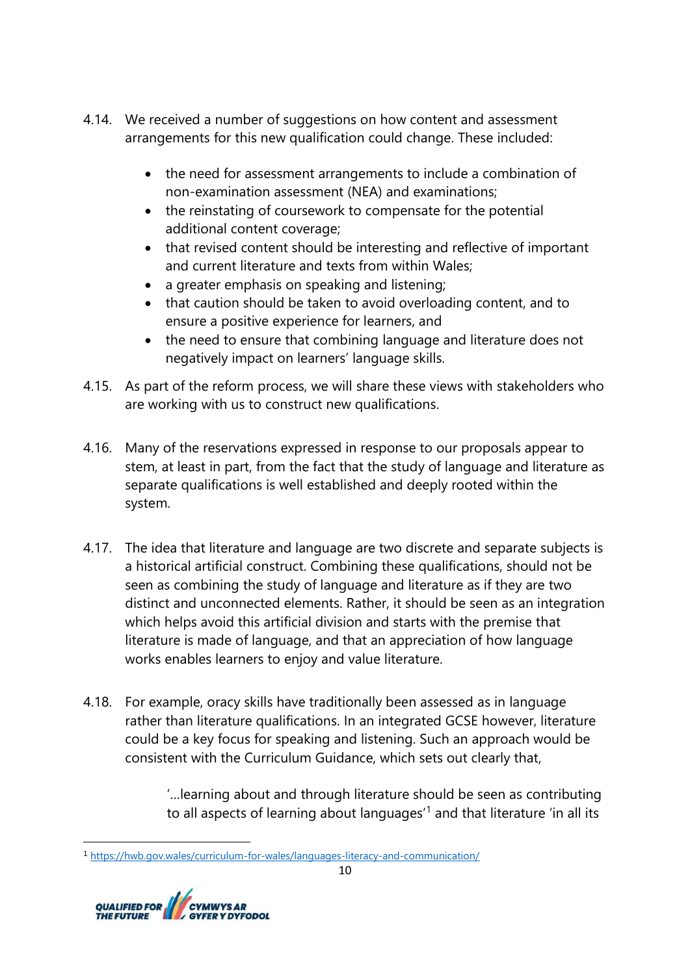- 4.14. We received a number of suggestions on how content and assessment arrangements for this new qualification could change. These included:
	- the need for assessment arrangements to include a combination of non-examination assessment (NEA) and examinations;
	- the reinstating of coursework to compensate for the potential additional content coverage;
	- that revised content should be interesting and reflective of important and current literature and texts from within Wales;
	- a greater emphasis on speaking and listening;
	- that caution should be taken to avoid overloading content, and to ensure a positive experience for learners, and
	- the need to ensure that combining language and literature does not negatively impact on learners' language skills.
- 4.15. As part of the reform process, we will share these views with stakeholders who are working with us to construct new qualifications.
- 4.16. Many of the reservations expressed in response to our proposals appear to stem, at least in part, from the fact that the study of language and literature as separate qualifications is well established and deeply rooted within the system.
- 4.17. The idea that literature and language are two discrete and separate subjects is a historical artificial construct. Combining these qualifications, should not be seen as combining the study of language and literature as if they are two distinct and unconnected elements. Rather, it should be seen as an integration which helps avoid this artificial division and starts with the premise that literature is made of language, and that an appreciation of how language works enables learners to enjoy and value literature.
- 4.18. For example, oracy skills have traditionally been assessed as in language rather than literature qualifications. In an integrated GCSE however, literature could be a key focus for speaking and listening. Such an approach would be consistent with the Curriculum Guidance, which sets out clearly that,

'…learning about and through literature should be seen as contributing to all aspects of learning about languages<sup>1</sup> and that literature 'in all its

<sup>1</sup> <https://hwb.gov.wales/curriculum-for-wales/languages-literacy-and-communication/>

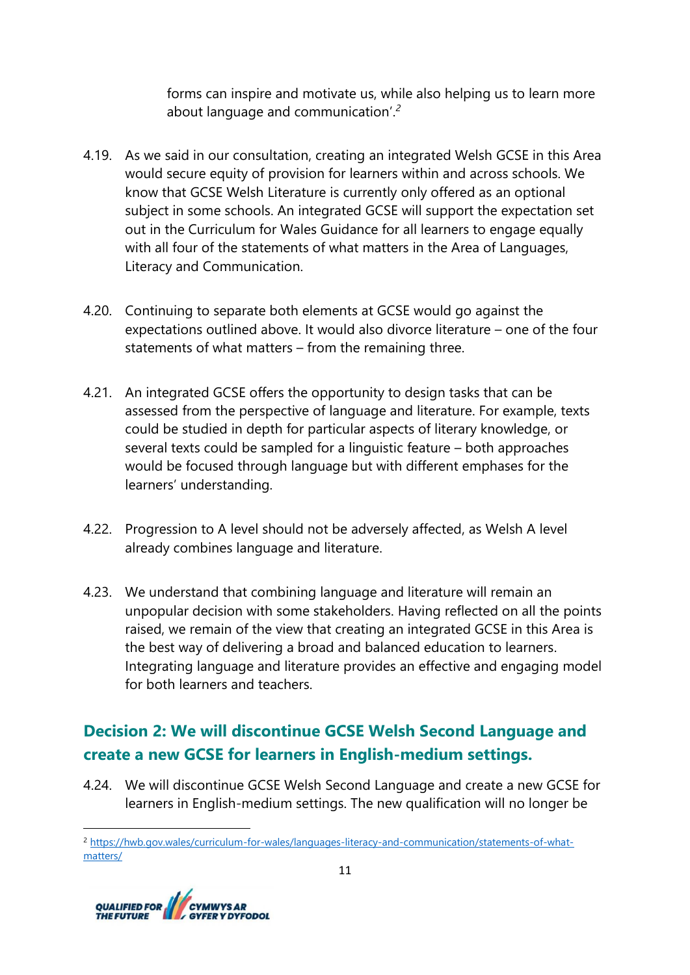forms can inspire and motivate us, while also helping us to learn more about language and communication'.*<sup>2</sup>*

- 4.19. As we said in our consultation, creating an integrated Welsh GCSE in this Area would secure equity of provision for learners within and across schools. We know that GCSE Welsh Literature is currently only offered as an optional subject in some schools. An integrated GCSE will support the expectation set out in the Curriculum for Wales Guidance for all learners to engage equally with all four of the statements of what matters in the Area of Languages, Literacy and Communication.
- 4.20. Continuing to separate both elements at GCSE would go against the expectations outlined above. It would also divorce literature – one of the four statements of what matters – from the remaining three.
- 4.21. An integrated GCSE offers the opportunity to design tasks that can be assessed from the perspective of language and literature. For example, texts could be studied in depth for particular aspects of literary knowledge, or several texts could be sampled for a linguistic feature – both approaches would be focused through language but with different emphases for the learners' understanding.
- 4.22. Progression to A level should not be adversely affected, as Welsh A level already combines language and literature.
- 4.23. We understand that combining language and literature will remain an unpopular decision with some stakeholders. Having reflected on all the points raised, we remain of the view that creating an integrated GCSE in this Area is the best way of delivering a broad and balanced education to learners. Integrating language and literature provides an effective and engaging model for both learners and teachers.

# **Decision 2: We will discontinue GCSE Welsh Second Language and create a new GCSE for learners in English-medium settings.**

4.24. We will discontinue GCSE Welsh Second Language and create a new GCSE for learners in English-medium settings. The new qualification will no longer be

<sup>2</sup> [https://hwb.gov.wales/curriculum-for-wales/languages-literacy-and-communication/statements-of-what](https://hwb.gov.wales/curriculum-for-wales/languages-literacy-and-communication/statements-of-what-matters/)[matters/](https://hwb.gov.wales/curriculum-for-wales/languages-literacy-and-communication/statements-of-what-matters/)

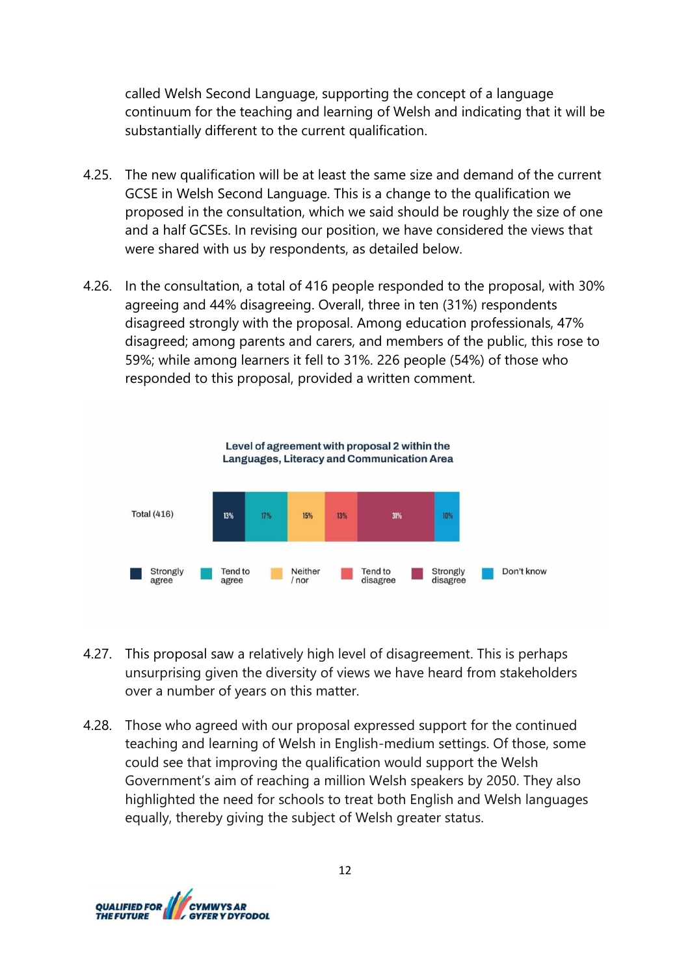called Welsh Second Language, supporting the concept of a language continuum for the teaching and learning of Welsh and indicating that it will be substantially different to the current qualification.

- 4.25. The new qualification will be at least the same size and demand of the current GCSE in Welsh Second Language. This is a change to the qualification we proposed in the consultation, which we said should be roughly the size of one and a half GCSEs. In revising our position, we have considered the views that were shared with us by respondents, as detailed below.
- 4.26. In the consultation, a total of 416 people responded to the proposal, with 30% agreeing and 44% disagreeing. Overall, three in ten (31%) respondents disagreed strongly with the proposal. Among education professionals, 47% disagreed; among parents and carers, and members of the public, this rose to 59%; while among learners it fell to 31%. 226 people (54%) of those who responded to this proposal, provided a written comment.



- 4.27. This proposal saw a relatively high level of disagreement. This is perhaps unsurprising given the diversity of views we have heard from stakeholders over a number of years on this matter.
- 4.28. Those who agreed with our proposal expressed support for the continued teaching and learning of Welsh in English-medium settings. Of those, some could see that improving the qualification would support the Welsh Government's aim of reaching a million Welsh speakers by 2050. They also highlighted the need for schools to treat both English and Welsh languages equally, thereby giving the subject of Welsh greater status.

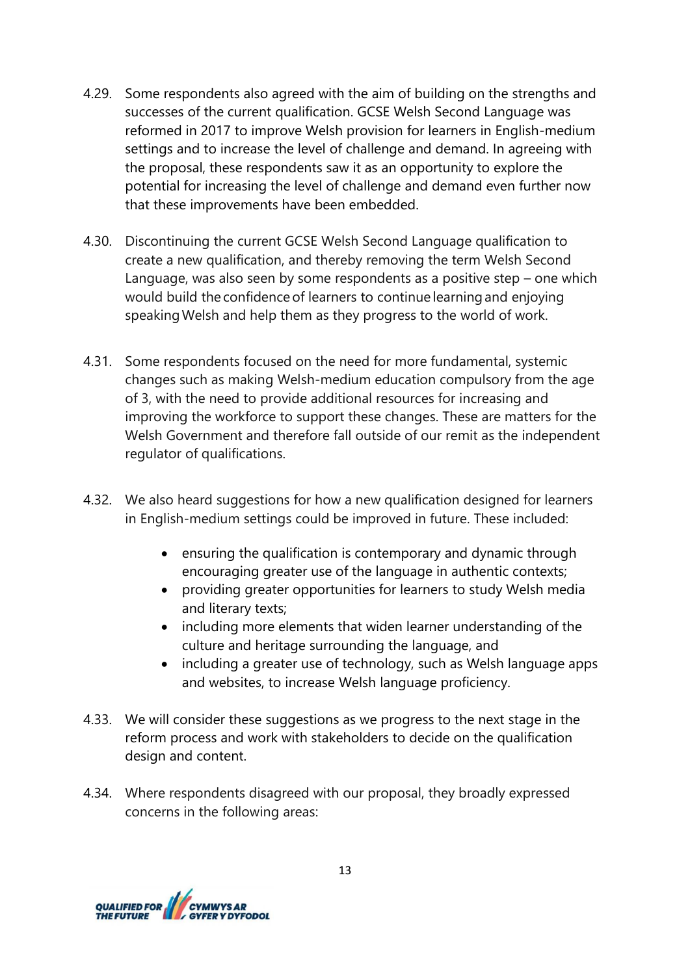- 4.29. Some respondents also agreed with the aim of building on the strengths and successes of the current qualification. GCSE Welsh Second Language was reformed in 2017 to improve Welsh provision for learners in English-medium settings and to increase the level of challenge and demand. In agreeing with the proposal, these respondents saw it as an opportunity to explore the potential for increasing the level of challenge and demand even further now that these improvements have been embedded.
- 4.30. Discontinuing the current GCSE Welsh Second Language qualification to create a new qualification, and thereby removing the term Welsh Second Language, was also seen by some respondents as a positive step – one which would build the confidence of learners to continue learning and enjoying speaking Welsh and help them as they progress to the world of work.
- 4.31. Some respondents focused on the need for more fundamental, systemic changes such as making Welsh-medium education compulsory from the age of 3, with the need to provide additional resources for increasing and improving the workforce to support these changes. These are matters for the Welsh Government and therefore fall outside of our remit as the independent regulator of qualifications.
- 4.32. We also heard suggestions for how a new qualification designed for learners in English-medium settings could be improved in future. These included:
	- ensuring the qualification is contemporary and dynamic through encouraging greater use of the language in authentic contexts;
	- providing greater opportunities for learners to study Welsh media and literary texts;
	- including more elements that widen learner understanding of the culture and heritage surrounding the language, and
	- including a greater use of technology, such as Welsh language apps and websites, to increase Welsh language proficiency.
- 4.33. We will consider these suggestions as we progress to the next stage in the reform process and work with stakeholders to decide on the qualification design and content.
- 4.34. Where respondents disagreed with our proposal, they broadly expressed concerns in the following areas:

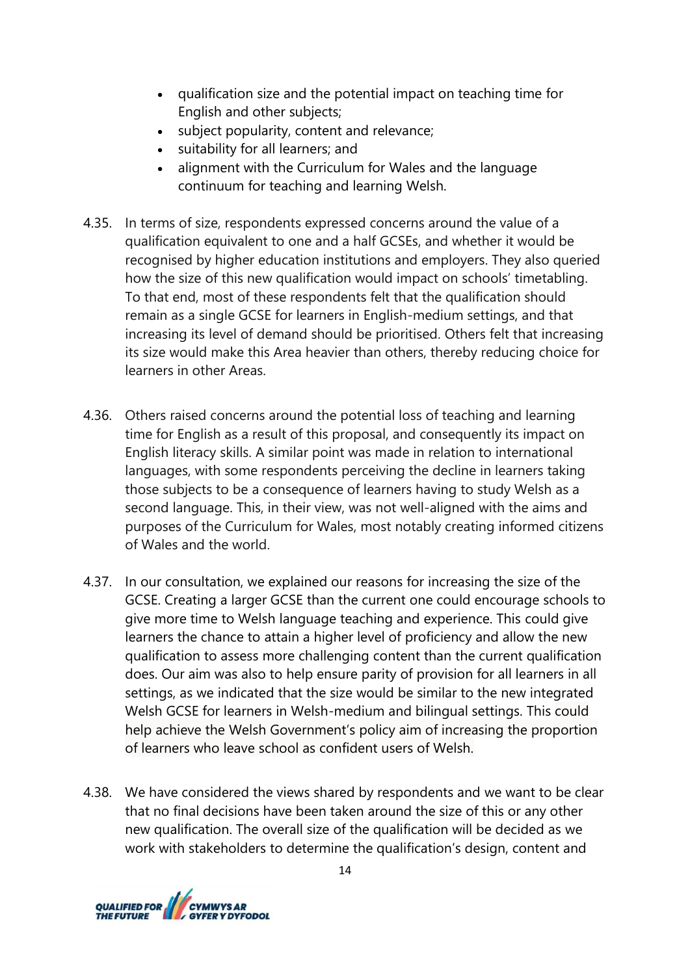- qualification size and the potential impact on teaching time for English and other subjects;
- subject popularity, content and relevance;
- suitability for all learners; and
- alignment with the Curriculum for Wales and the language continuum for teaching and learning Welsh.
- 4.35. In terms of size, respondents expressed concerns around the value of a qualification equivalent to one and a half GCSEs, and whether it would be recognised by higher education institutions and employers. They also queried how the size of this new qualification would impact on schools' timetabling. To that end, most of these respondents felt that the qualification should remain as a single GCSE for learners in English-medium settings, and that increasing its level of demand should be prioritised. Others felt that increasing its size would make this Area heavier than others, thereby reducing choice for learners in other Areas.
- 4.36. Others raised concerns around the potential loss of teaching and learning time for English as a result of this proposal, and consequently its impact on English literacy skills. A similar point was made in relation to international languages, with some respondents perceiving the decline in learners taking those subjects to be a consequence of learners having to study Welsh as a second language. This, in their view, was not well-aligned with the aims and purposes of the Curriculum for Wales, most notably creating informed citizens of Wales and the world.
- 4.37. In our consultation, we explained our reasons for increasing the size of the GCSE. Creating a larger GCSE than the current one could encourage schools to give more time to Welsh language teaching and experience. This could give learners the chance to attain a higher level of proficiency and allow the new qualification to assess more challenging content than the current qualification does. Our aim was also to help ensure parity of provision for all learners in all settings, as we indicated that the size would be similar to the new integrated Welsh GCSE for learners in Welsh-medium and bilingual settings. This could help achieve the Welsh Government's policy aim of increasing the proportion of learners who leave school as confident users of Welsh.
- 4.38. We have considered the views shared by respondents and we want to be clear that no final decisions have been taken around the size of this or any other new qualification. The overall size of the qualification will be decided as we work with stakeholders to determine the qualification's design, content and

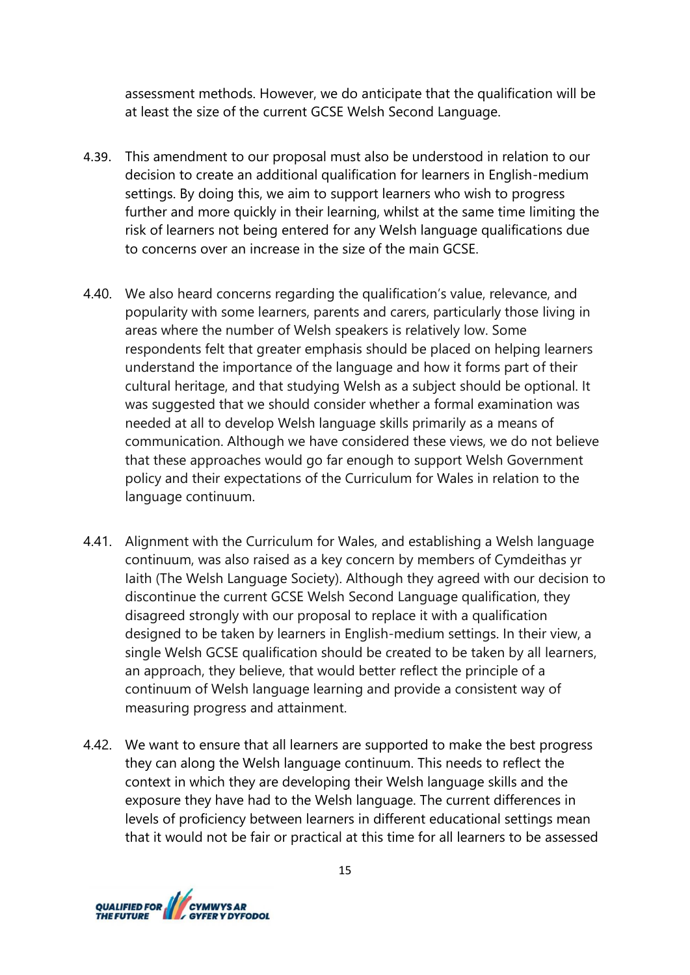assessment methods. However, we do anticipate that the qualification will be at least the size of the current GCSE Welsh Second Language.

- 4.39. This amendment to our proposal must also be understood in relation to our decision to create an additional qualification for learners in English-medium settings. By doing this, we aim to support learners who wish to progress further and more quickly in their learning, whilst at the same time limiting the risk of learners not being entered for any Welsh language qualifications due to concerns over an increase in the size of the main GCSE.
- 4.40. We also heard concerns regarding the qualification's value, relevance, and popularity with some learners, parents and carers, particularly those living in areas where the number of Welsh speakers is relatively low. Some respondents felt that greater emphasis should be placed on helping learners understand the importance of the language and how it forms part of their cultural heritage, and that studying Welsh as a subject should be optional. It was suggested that we should consider whether a formal examination was needed at all to develop Welsh language skills primarily as a means of communication. Although we have considered these views, we do not believe that these approaches would go far enough to support Welsh Government policy and their expectations of the Curriculum for Wales in relation to the language continuum.
- 4.41. Alignment with the Curriculum for Wales, and establishing a Welsh language continuum, was also raised as a key concern by members of Cymdeithas yr Iaith (The Welsh Language Society). Although they agreed with our decision to discontinue the current GCSE Welsh Second Language qualification, they disagreed strongly with our proposal to replace it with a qualification designed to be taken by learners in English-medium settings. In their view, a single Welsh GCSE qualification should be created to be taken by all learners, an approach, they believe, that would better reflect the principle of a continuum of Welsh language learning and provide a consistent way of measuring progress and attainment.
- 4.42. We want to ensure that all learners are supported to make the best progress they can along the Welsh language continuum. This needs to reflect the context in which they are developing their Welsh language skills and the exposure they have had to the Welsh language. The current differences in levels of proficiency between learners in different educational settings mean that it would not be fair or practical at this time for all learners to be assessed

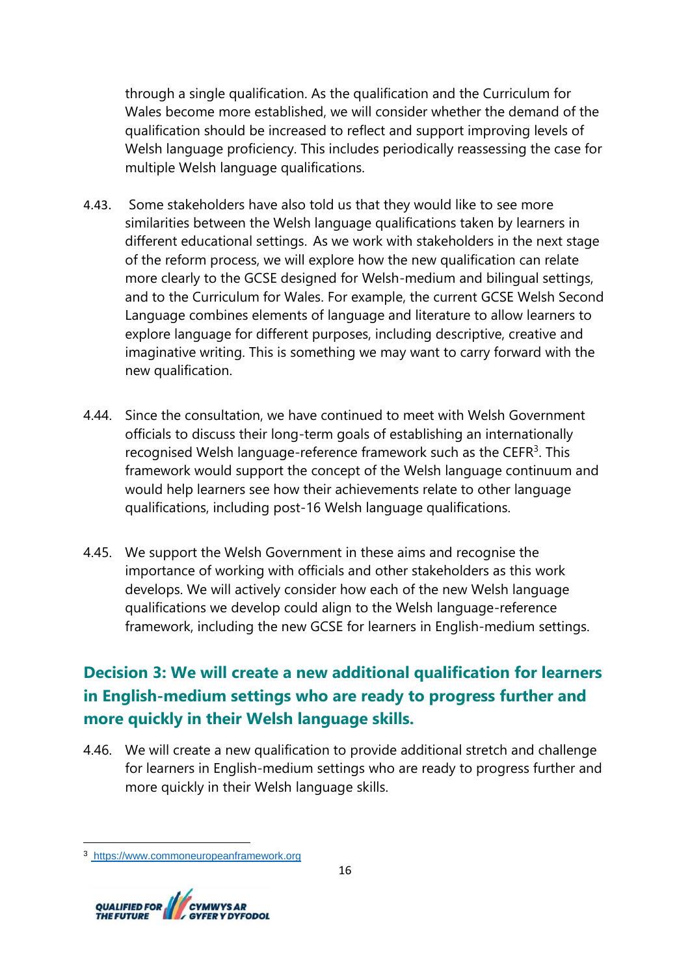through a single qualification. As the qualification and the Curriculum for Wales become more established, we will consider whether the demand of the qualification should be increased to reflect and support improving levels of Welsh language proficiency. This includes periodically reassessing the case for multiple Welsh language qualifications.

- 4.43. Some stakeholders have also told us that they would like to see more similarities between the Welsh language qualifications taken by learners in different educational settings. As we work with stakeholders in the next stage of the reform process, we will explore how the new qualification can relate more clearly to the GCSE designed for Welsh-medium and bilingual settings, and to the Curriculum for Wales. For example, the current GCSE Welsh Second Language combines elements of language and literature to allow learners to explore language for different purposes, including descriptive, creative and imaginative writing. This is something we may want to carry forward with the new qualification.
- 4.44. Since the consultation, we have continued to meet with Welsh Government officials to discuss their long-term goals of establishing an internationally recognised Welsh language-reference framework such as the CEFR<sup>3</sup>. This framework would support the concept of the Welsh language continuum and would help learners see how their achievements relate to other language qualifications, including post-16 Welsh language qualifications.
- 4.45. We support the Welsh Government in these aims and recognise the importance of working with officials and other stakeholders as this work develops. We will actively consider how each of the new Welsh language qualifications we develop could align to the Welsh language-reference framework, including the new GCSE for learners in English-medium settings.

# **Decision 3: We will create a new additional qualification for learners in English-medium settings who are ready to progress further and more quickly in their Welsh language skills.**

4.46. We will create a new qualification to provide additional stretch and challenge for learners in English-medium settings who are ready to progress further and more quickly in their Welsh language skills.

<sup>3</sup> https://www.commoneuropeanframework.org

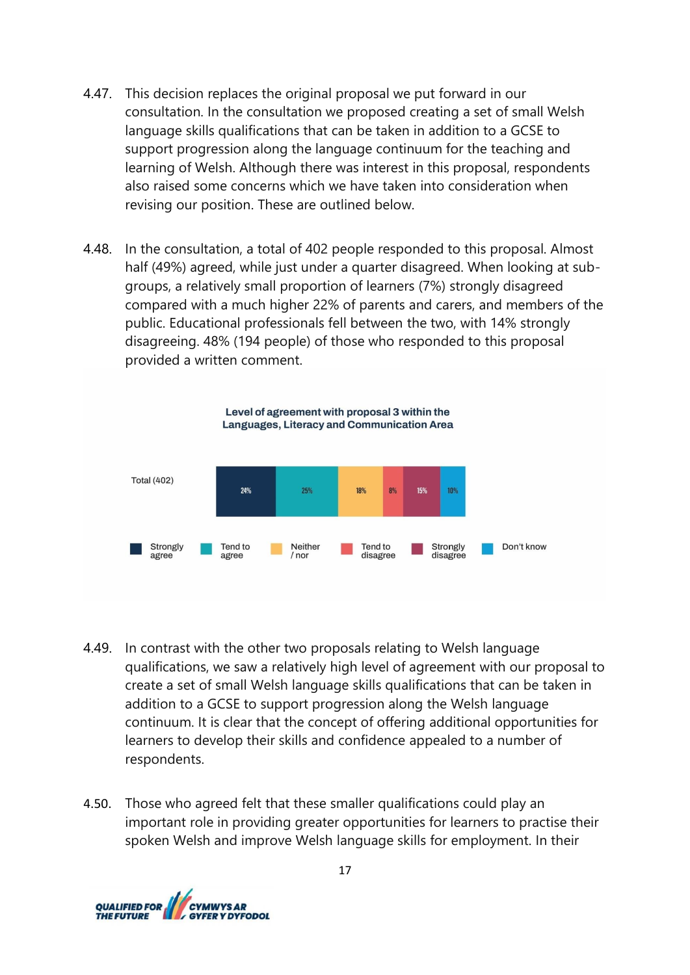- 4.47. This decision replaces the original proposal we put forward in our consultation. In the consultation we proposed creating a set of small Welsh language skills qualifications that can be taken in addition to a GCSE to support progression along the language continuum for the teaching and learning of Welsh. Although there was interest in this proposal, respondents also raised some concerns which we have taken into consideration when revising our position. These are outlined below.
- 4.48. In the consultation, a total of 402 people responded to this proposal. Almost half (49%) agreed, while just under a quarter disagreed. When looking at subgroups, a relatively small proportion of learners (7%) strongly disagreed compared with a much higher 22% of parents and carers, and members of the public. Educational professionals fell between the two, with 14% strongly disagreeing. 48% (194 people) of those who responded to this proposal provided a written comment.



- 4.49. In contrast with the other two proposals relating to Welsh language qualifications, we saw a relatively high level of agreement with our proposal to create a set of small Welsh language skills qualifications that can be taken in addition to a GCSE to support progression along the Welsh language continuum. It is clear that the concept of offering additional opportunities for learners to develop their skills and confidence appealed to a number of respondents.
- 4.50. Those who agreed felt that these smaller qualifications could play an important role in providing greater opportunities for learners to practise their spoken Welsh and improve Welsh language skills for employment. In their

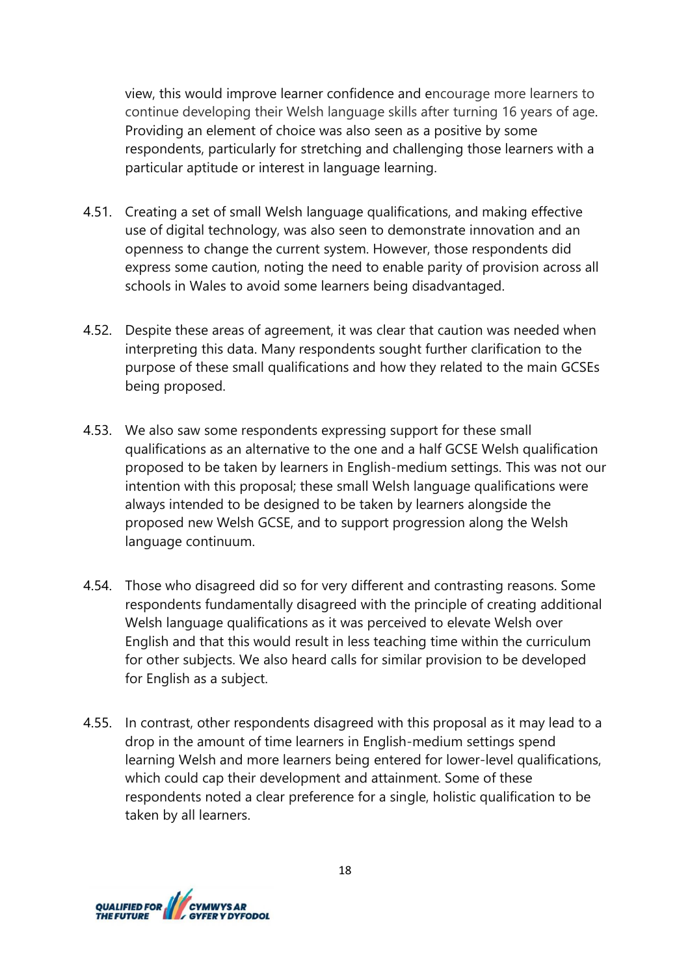view, this would improve learner confidence and encourage more learners to continue developing their Welsh language skills after turning 16 years of age. Providing an element of choice was also seen as a positive by some respondents, particularly for stretching and challenging those learners with a particular aptitude or interest in language learning.

- 4.51. Creating a set of small Welsh language qualifications, and making effective use of digital technology, was also seen to demonstrate innovation and an openness to change the current system. However, those respondents did express some caution, noting the need to enable parity of provision across all schools in Wales to avoid some learners being disadvantaged.
- 4.52. Despite these areas of agreement, it was clear that caution was needed when interpreting this data. Many respondents sought further clarification to the purpose of these small qualifications and how they related to the main GCSEs being proposed.
- 4.53. We also saw some respondents expressing support for these small qualifications as an alternative to the one and a half GCSE Welsh qualification proposed to be taken by learners in English-medium settings. This was not our intention with this proposal; these small Welsh language qualifications were always intended to be designed to be taken by learners alongside the proposed new Welsh GCSE, and to support progression along the Welsh language continuum.
- 4.54. Those who disagreed did so for very different and contrasting reasons. Some respondents fundamentally disagreed with the principle of creating additional Welsh language qualifications as it was perceived to elevate Welsh over English and that this would result in less teaching time within the curriculum for other subjects. We also heard calls for similar provision to be developed for English as a subject.
- 4.55. In contrast, other respondents disagreed with this proposal as it may lead to a drop in the amount of time learners in English-medium settings spend learning Welsh and more learners being entered for lower-level qualifications, which could cap their development and attainment. Some of these respondents noted a clear preference for a single, holistic qualification to be taken by all learners.

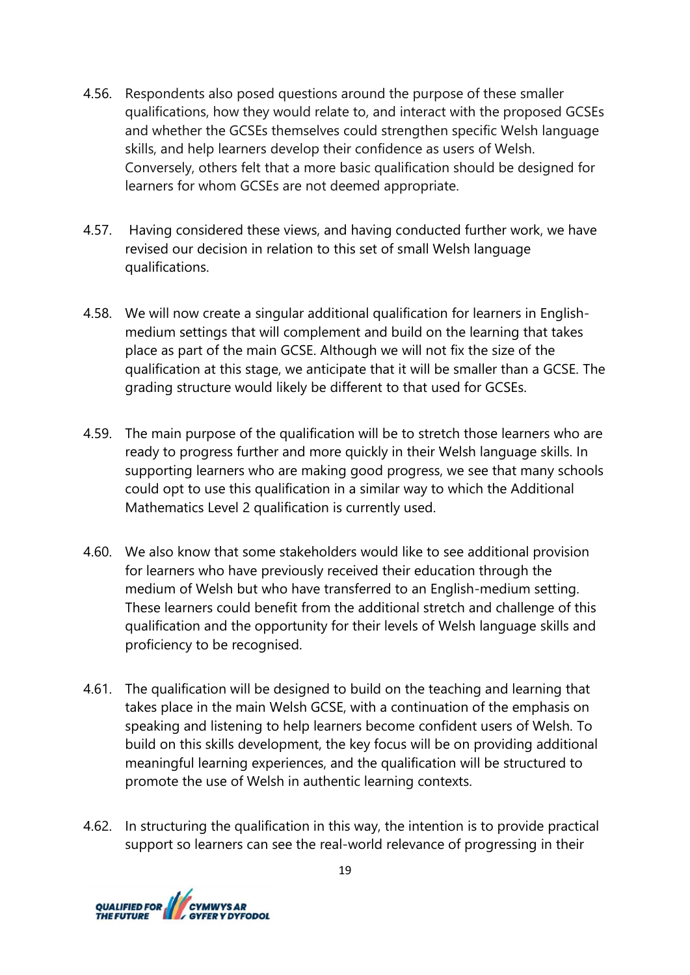- 4.56. Respondents also posed questions around the purpose of these smaller qualifications, how they would relate to, and interact with the proposed GCSEs and whether the GCSEs themselves could strengthen specific Welsh language skills, and help learners develop their confidence as users of Welsh. Conversely, others felt that a more basic qualification should be designed for learners for whom GCSEs are not deemed appropriate.
- 4.57. Having considered these views, and having conducted further work, we have revised our decision in relation to this set of small Welsh language qualifications.
- 4.58. We will now create a singular additional qualification for learners in Englishmedium settings that will complement and build on the learning that takes place as part of the main GCSE. Although we will not fix the size of the qualification at this stage, we anticipate that it will be smaller than a GCSE. The grading structure would likely be different to that used for GCSEs.
- 4.59. The main purpose of the qualification will be to stretch those learners who are ready to progress further and more quickly in their Welsh language skills. In supporting learners who are making good progress, we see that many schools could opt to use this qualification in a similar way to which the Additional Mathematics Level 2 qualification is currently used.
- 4.60. We also know that some stakeholders would like to see additional provision for learners who have previously received their education through the medium of Welsh but who have transferred to an English-medium setting. These learners could benefit from the additional stretch and challenge of this qualification and the opportunity for their levels of Welsh language skills and proficiency to be recognised.
- 4.61. The qualification will be designed to build on the teaching and learning that takes place in the main Welsh GCSE, with a continuation of the emphasis on speaking and listening to help learners become confident users of Welsh. To build on this skills development, the key focus will be on providing additional meaningful learning experiences, and the qualification will be structured to promote the use of Welsh in authentic learning contexts.
- 4.62. In structuring the qualification in this way, the intention is to provide practical support so learners can see the real-world relevance of progressing in their

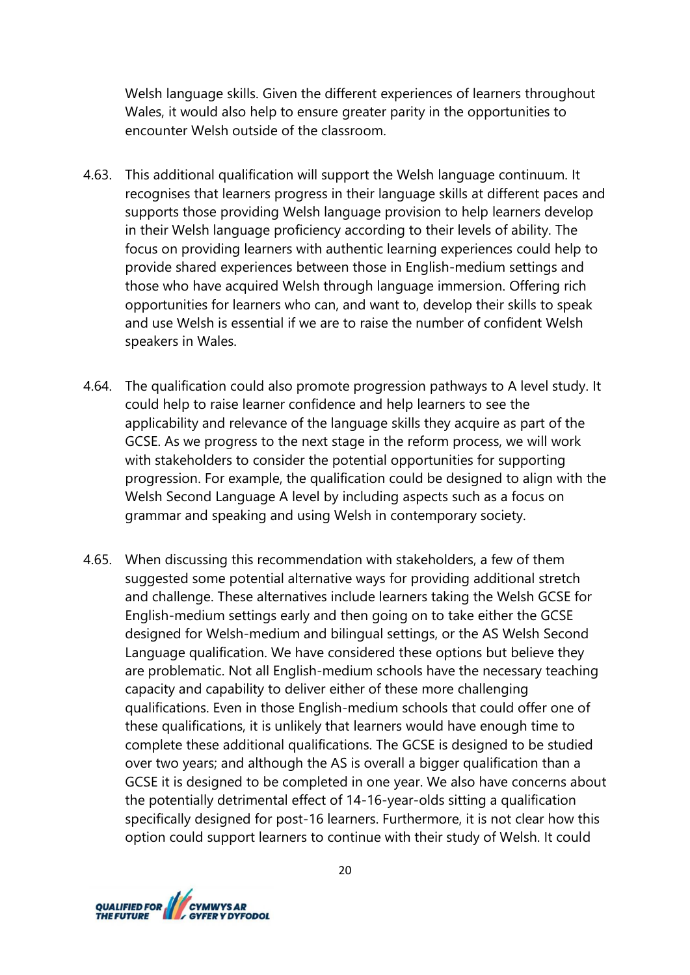Welsh language skills. Given the different experiences of learners throughout Wales, it would also help to ensure greater parity in the opportunities to encounter Welsh outside of the classroom.

- 4.63. This additional qualification will support the Welsh language continuum. It recognises that learners progress in their language skills at different paces and supports those providing Welsh language provision to help learners develop in their Welsh language proficiency according to their levels of ability. The focus on providing learners with authentic learning experiences could help to provide shared experiences between those in English-medium settings and those who have acquired Welsh through language immersion.  Offering rich opportunities for learners who can, and want to, develop their skills to speak and use Welsh is essential if we are to raise the number of confident Welsh speakers in Wales.
- 4.64. The qualification could also promote progression pathways to A level study. It could help to raise learner confidence and help learners to see the applicability and relevance of the language skills they acquire as part of the GCSE. As we progress to the next stage in the reform process, we will work with stakeholders to consider the potential opportunities for supporting progression. For example, the qualification could be designed to align with the Welsh Second Language A level by including aspects such as a focus on grammar and speaking and using Welsh in contemporary society.
- 4.65. When discussing this recommendation with stakeholders, a few of them suggested some potential alternative ways for providing additional stretch and challenge. These alternatives include learners taking the Welsh GCSE for English-medium settings early and then going on to take either the GCSE designed for Welsh-medium and bilingual settings, or the AS Welsh Second Language qualification. We have considered these options but believe they are problematic. Not all English-medium schools have the necessary teaching capacity and capability to deliver either of these more challenging qualifications. Even in those English-medium schools that could offer one of these qualifications, it is unlikely that learners would have enough time to complete these additional qualifications. The GCSE is designed to be studied over two years; and although the AS is overall a bigger qualification than a GCSE it is designed to be completed in one year. We also have concerns about the potentially detrimental effect of 14-16-year-olds sitting a qualification specifically designed for post-16 learners. Furthermore, it is not clear how this option could support learners to continue with their study of Welsh. It could

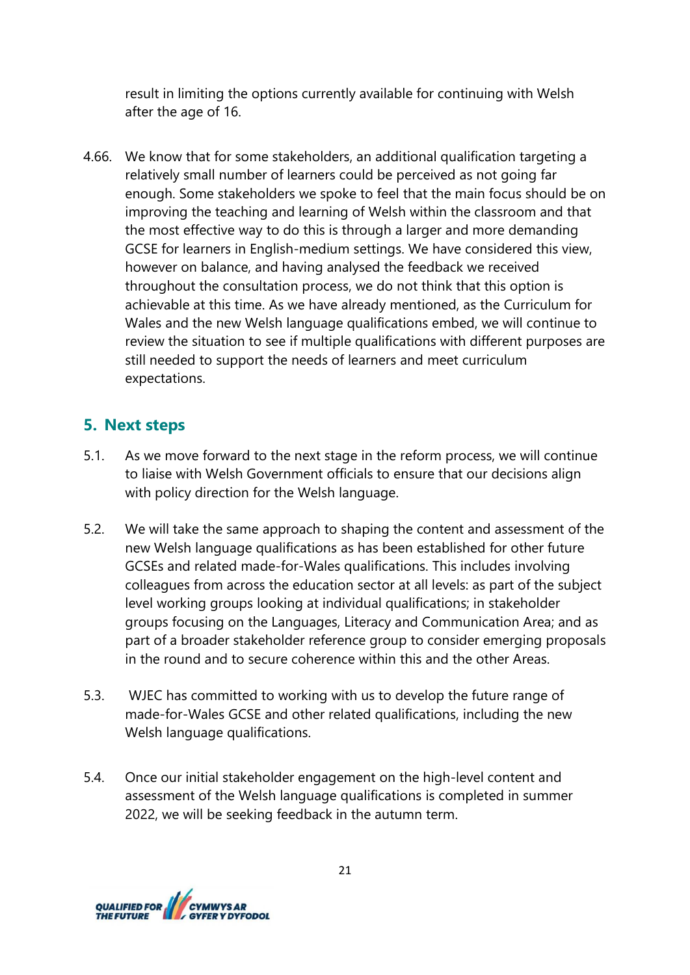result in limiting the options currently available for continuing with Welsh after the age of 16.

4.66. We know that for some stakeholders, an additional qualification targeting a relatively small number of learners could be perceived as not going far enough. Some stakeholders we spoke to feel that the main focus should be on improving the teaching and learning of Welsh within the classroom and that the most effective way to do this is through a larger and more demanding GCSE for learners in English-medium settings. We have considered this view, however on balance, and having analysed the feedback we received throughout the consultation process, we do not think that this option is achievable at this time. As we have already mentioned, as the Curriculum for Wales and the new Welsh language qualifications embed, we will continue to review the situation to see if multiple qualifications with different purposes are still needed to support the needs of learners and meet curriculum expectations.

## **5. Next steps**

- 5.1. As we move forward to the next stage in the reform process, we will continue to liaise with Welsh Government officials to ensure that our decisions align with policy direction for the Welsh language.
- 5.2. We will take the same approach to shaping the content and assessment of the new Welsh language qualifications as has been established for other future GCSEs and related made-for-Wales qualifications. This includes involving colleagues from across the education sector at all levels: as part of the subject level working groups looking at individual qualifications; in stakeholder groups focusing on the Languages, Literacy and Communication Area; and as part of a broader stakeholder reference group to consider emerging proposals in the round and to secure coherence within this and the other Areas.
- 5.3. WJEC has committed to working with us to develop the future range of made-for-Wales GCSE and other related qualifications, including the new Welsh language qualifications.
- 5.4. Once our initial stakeholder engagement on the high-level content and assessment of the Welsh language qualifications is completed in summer 2022, we will be seeking feedback in the autumn term.

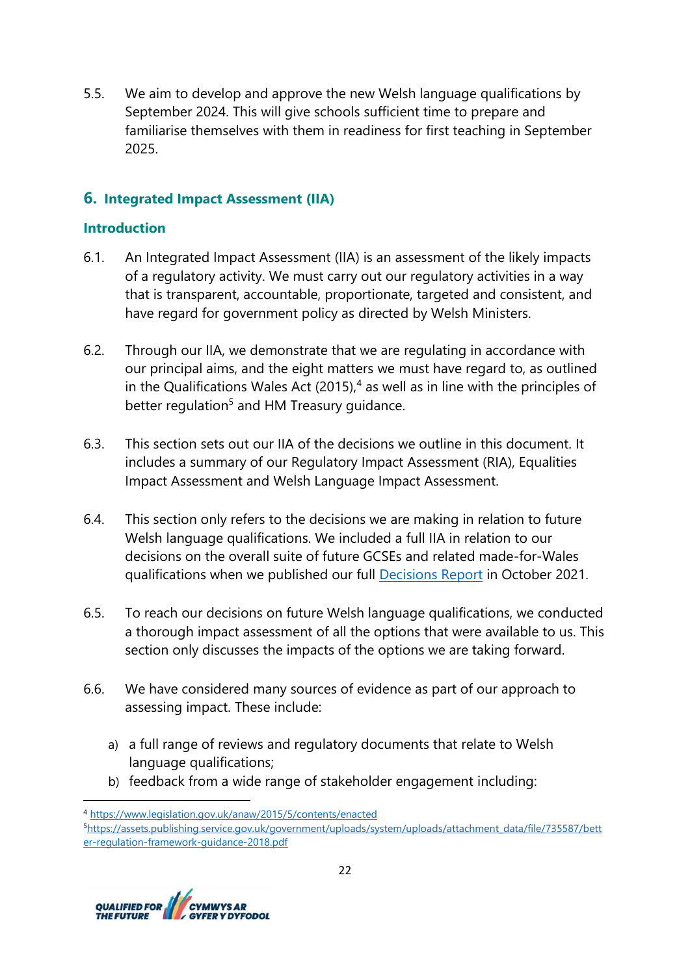5.5. We aim to develop and approve the new Welsh language qualifications by September 2024. This will give schools sufficient time to prepare and familiarise themselves with them in readiness for first teaching in September 2025.

## **6. Integrated Impact Assessment (IIA)**

#### **Introduction**

- 6.1. An Integrated Impact Assessment (IIA) is an assessment of the likely impacts of a regulatory activity. We must carry out our regulatory activities in a way that is transparent, accountable, proportionate, targeted and consistent, and have regard for government policy as directed by Welsh Ministers.
- 6.2. Through our IIA, we demonstrate that we are regulating in accordance with our principal aims, and the eight matters we must have regard to, as outlined in the Qualifications Wales Act  $(2015)<sup>4</sup>$  as well as in line with the principles of better regulation<sup>5</sup> and HM Treasury guidance.
- 6.3. This section sets out our IIA of the decisions we outline in this document. It includes a summary of our Regulatory Impact Assessment (RIA), Equalities Impact Assessment and Welsh Language Impact Assessment.
- 6.4. This section only refers to the decisions we are making in relation to future Welsh language qualifications. We included a full IIA in relation to our decisions on the overall suite of future GCSEs and related made-for-Wales qualifications when we published our full **Decisions Report in October 2021.**
- 6.5. To reach our decisions on future Welsh language qualifications, we conducted a thorough impact assessment of all the options that were available to us. This section only discusses the impacts of the options we are taking forward.
- 6.6. We have considered many sources of evidence as part of our approach to assessing impact. These include:
	- a) a full range of reviews and regulatory documents that relate to Welsh language qualifications;
	- b) feedback from a wide range of stakeholder engagement including:

<sup>5</sup>[https://assets.publishing.service.gov.uk/government/uploads/system/uploads/attachment\\_data/file/735587/bett](https://assets.publishing.service.gov.uk/government/uploads/system/uploads/attachment_data/file/735587/better-regulation-framework-guidance-2018.pdf) [er-regulation-framework-guidance-2018.pdf](https://assets.publishing.service.gov.uk/government/uploads/system/uploads/attachment_data/file/735587/better-regulation-framework-guidance-2018.pdf)



<sup>4</sup> <https://www.legislation.gov.uk/anaw/2015/5/contents/enacted>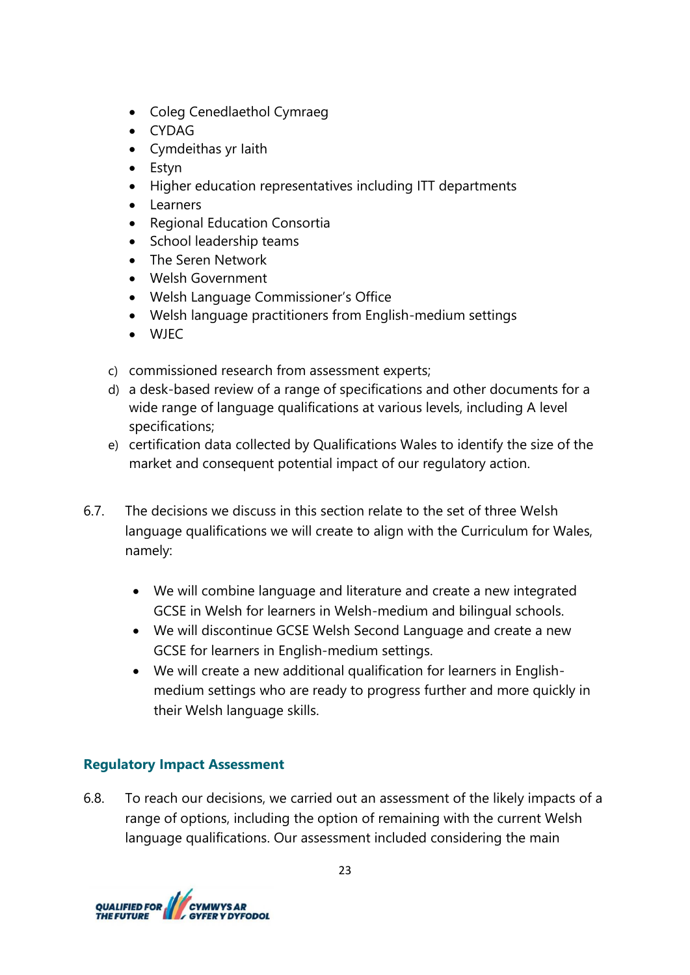- Coleg Cenedlaethol Cymraeg
- CYDAG
- Cymdeithas yr Iaith
- Estyn
- Higher education representatives including ITT departments
- Learners
- Regional Education Consortia
- School leadership teams
- The Seren Network
- Welsh Government
- Welsh Language Commissioner's Office
- Welsh language practitioners from English-medium settings
- WJEC
- c) commissioned research from assessment experts;
- d) a desk-based review of a range of specifications and other documents for a wide range of language qualifications at various levels, including A level specifications;
- e) certification data collected by Qualifications Wales to identify the size of the market and consequent potential impact of our regulatory action.
- 6.7. The decisions we discuss in this section relate to the set of three Welsh language qualifications we will create to align with the Curriculum for Wales, namely:
	- We will combine language and literature and create a new integrated GCSE in Welsh for learners in Welsh-medium and bilingual schools.
	- We will discontinue GCSE Welsh Second Language and create a new GCSE for learners in English-medium settings.
	- We will create a new additional qualification for learners in Englishmedium settings who are ready to progress further and more quickly in their Welsh language skills.

## **Regulatory Impact Assessment**

6.8. To reach our decisions, we carried out an assessment of the likely impacts of a range of options, including the option of remaining with the current Welsh language qualifications. Our assessment included considering the main

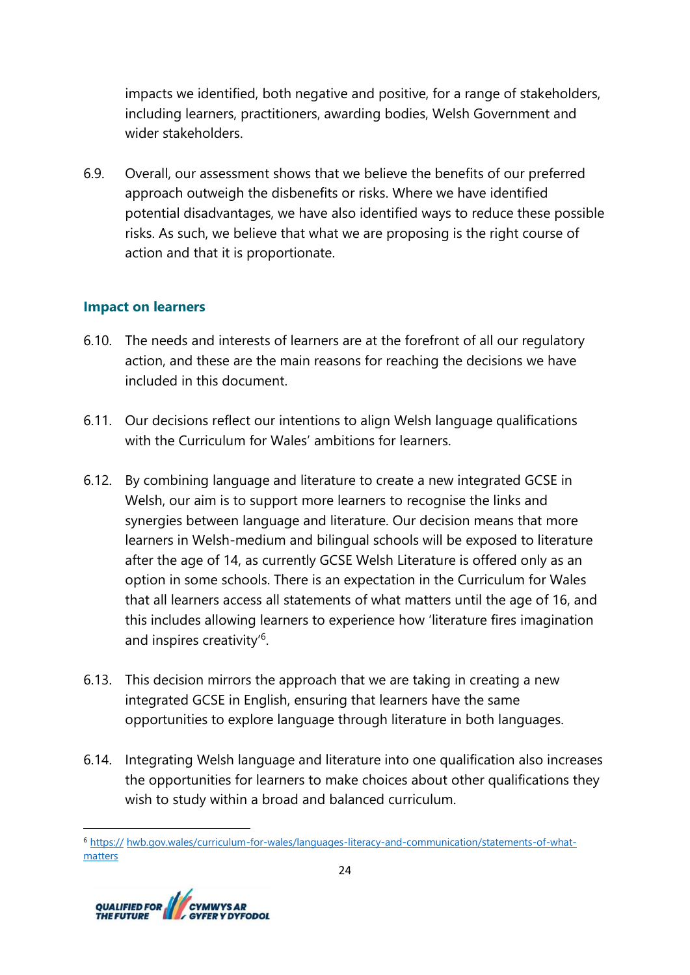impacts we identified, both negative and positive, for a range of stakeholders, including learners, practitioners, awarding bodies, Welsh Government and wider stakeholders.

6.9. Overall, our assessment shows that we believe the benefits of our preferred approach outweigh the disbenefits or risks. Where we have identified potential disadvantages, we have also identified ways to reduce these possible risks. As such, we believe that what we are proposing is the right course of action and that it is proportionate.

### **Impact on learners**

- 6.10. The needs and interests of learners are at the forefront of all our regulatory action, and these are the main reasons for reaching the decisions we have included in this document.
- 6.11. Our decisions reflect our intentions to align Welsh language qualifications with the Curriculum for Wales' ambitions for learners.
- 6.12. By combining language and literature to create a new integrated GCSE in Welsh, our aim is to support more learners to recognise the links and synergies between language and literature. Our decision means that more learners in Welsh-medium and bilingual schools will be exposed to literature after the age of 14, as currently GCSE Welsh Literature is offered only as an option in some schools. There is an expectation in the Curriculum for Wales that all learners access all statements of what matters until the age of 16, and this includes allowing learners to experience how 'literature fires imagination and inspires creativity<sup>'6</sup>.
- 6.13. This decision mirrors the approach that we are taking in creating a new integrated GCSE in English, ensuring that learners have the same opportunities to explore language through literature in both languages.
- 6.14. Integrating Welsh language and literature into one qualification also increases the opportunities for learners to make choices about other qualifications they wish to study within a broad and balanced curriculum.

<sup>6</sup> https:// hwb.gov.wales/curriculum-for-wales/languages-literacy-and-communication/statements-of-whatmatters

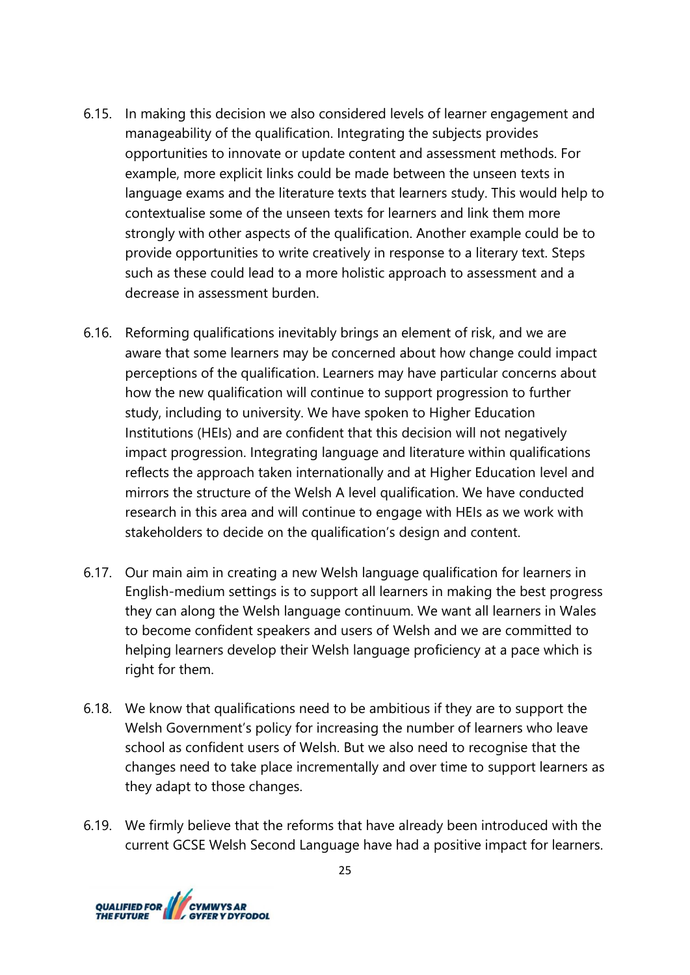- 6.15. In making this decision we also considered levels of learner engagement and manageability of the qualification. Integrating the subjects provides opportunities to innovate or update content and assessment methods. For example, more explicit links could be made between the unseen texts in language exams and the literature texts that learners study. This would help to contextualise some of the unseen texts for learners and link them more strongly with other aspects of the qualification. Another example could be to provide opportunities to write creatively in response to a literary text. Steps such as these could lead to a more holistic approach to assessment and a decrease in assessment burden.
- 6.16. Reforming qualifications inevitably brings an element of risk, and we are aware that some learners may be concerned about how change could impact perceptions of the qualification. Learners may have particular concerns about how the new qualification will continue to support progression to further study, including to university. We have spoken to Higher Education Institutions (HEIs) and are confident that this decision will not negatively impact progression. Integrating language and literature within qualifications reflects the approach taken internationally and at Higher Education level and mirrors the structure of the Welsh A level qualification. We have conducted research in this area and will continue to engage with HEIs as we work with stakeholders to decide on the qualification's design and content.
- 6.17. Our main aim in creating a new Welsh language qualification for learners in English-medium settings is to support all learners in making the best progress they can along the Welsh language continuum. We want all learners in Wales to become confident speakers and users of Welsh and we are committed to helping learners develop their Welsh language proficiency at a pace which is right for them.
- 6.18. We know that qualifications need to be ambitious if they are to support the Welsh Government's policy for increasing the number of learners who leave school as confident users of Welsh. But we also need to recognise that the changes need to take place incrementally and over time to support learners as they adapt to those changes.
- 6.19. We firmly believe that the reforms that have already been introduced with the current GCSE Welsh Second Language have had a positive impact for learners.

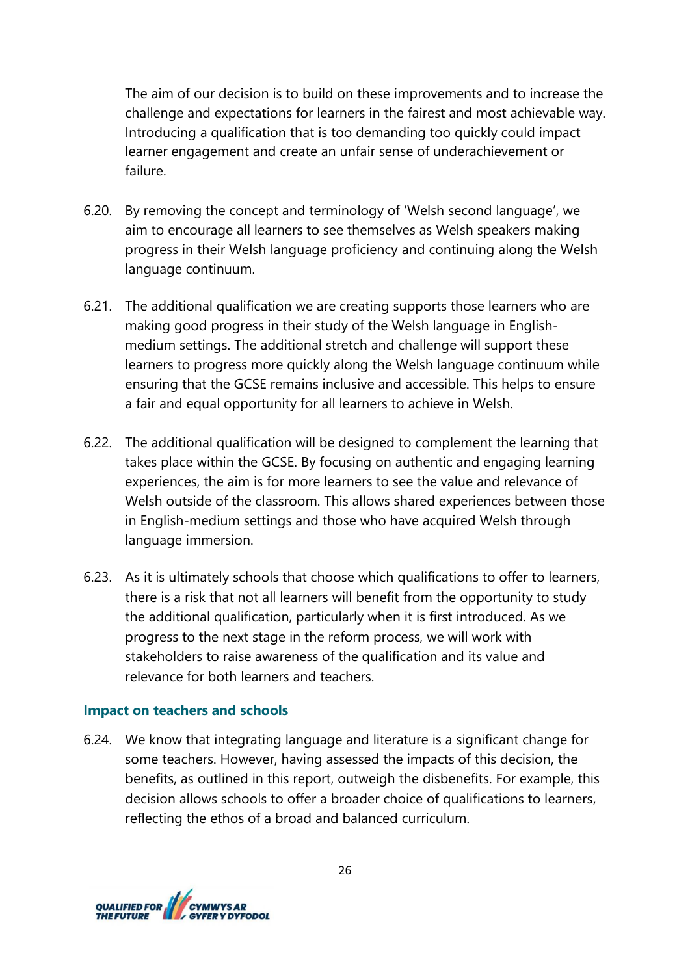The aim of our decision is to build on these improvements and to increase the challenge and expectations for learners in the fairest and most achievable way. Introducing a qualification that is too demanding too quickly could impact learner engagement and create an unfair sense of underachievement or failure.

- 6.20. By removing the concept and terminology of 'Welsh second language', we aim to encourage all learners to see themselves as Welsh speakers making progress in their Welsh language proficiency and continuing along the Welsh language continuum.
- 6.21. The additional qualification we are creating supports those learners who are making good progress in their study of the Welsh language in Englishmedium settings. The additional stretch and challenge will support these learners to progress more quickly along the Welsh language continuum while ensuring that the GCSE remains inclusive and accessible. This helps to ensure a fair and equal opportunity for all learners to achieve in Welsh.
- 6.22. The additional qualification will be designed to complement the learning that takes place within the GCSE. By focusing on authentic and engaging learning experiences, the aim is for more learners to see the value and relevance of Welsh outside of the classroom. This allows shared experiences between those in English-medium settings and those who have acquired Welsh through language immersion.
- 6.23. As it is ultimately schools that choose which qualifications to offer to learners, there is a risk that not all learners will benefit from the opportunity to study the additional qualification, particularly when it is first introduced. As we progress to the next stage in the reform process, we will work with stakeholders to raise awareness of the qualification and its value and relevance for both learners and teachers.

#### **Impact on teachers and schools**

6.24. We know that integrating language and literature is a significant change for some teachers. However, having assessed the impacts of this decision, the benefits, as outlined in this report, outweigh the disbenefits. For example, this decision allows schools to offer a broader choice of qualifications to learners, reflecting the ethos of a broad and balanced curriculum.

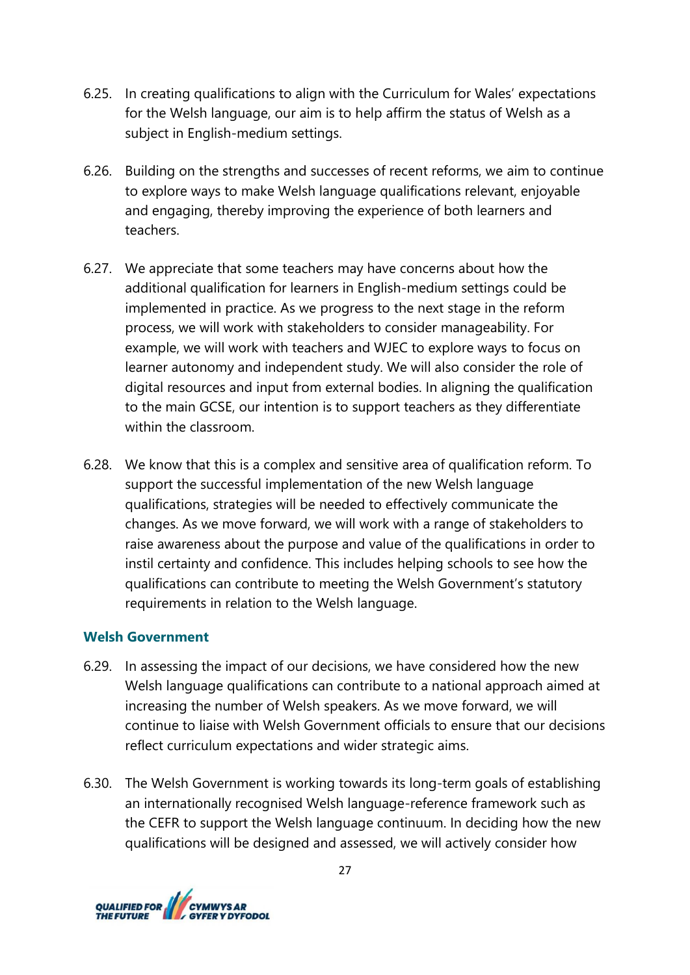- 6.25. In creating qualifications to align with the Curriculum for Wales' expectations for the Welsh language, our aim is to help affirm the status of Welsh as a subject in English-medium settings.
- 6.26. Building on the strengths and successes of recent reforms, we aim to continue to explore ways to make Welsh language qualifications relevant, enjoyable and engaging, thereby improving the experience of both learners and teachers.
- 6.27. We appreciate that some teachers may have concerns about how the additional qualification for learners in English-medium settings could be implemented in practice. As we progress to the next stage in the reform process, we will work with stakeholders to consider manageability. For example, we will work with teachers and WJEC to explore ways to focus on learner autonomy and independent study. We will also consider the role of digital resources and input from external bodies. In aligning the qualification to the main GCSE, our intention is to support teachers as they differentiate within the classroom.
- 6.28. We know that this is a complex and sensitive area of qualification reform. To support the successful implementation of the new Welsh language qualifications, strategies will be needed to effectively communicate the changes. As we move forward, we will work with a range of stakeholders to raise awareness about the purpose and value of the qualifications in order to instil certainty and confidence. This includes helping schools to see how the qualifications can contribute to meeting the Welsh Government's statutory requirements in relation to the Welsh language.

#### **Welsh Government**

- 6.29. In assessing the impact of our decisions, we have considered how the new Welsh language qualifications can contribute to a national approach aimed at increasing the number of Welsh speakers. As we move forward, we will continue to liaise with Welsh Government officials to ensure that our decisions reflect curriculum expectations and wider strategic aims.
- 6.30. The Welsh Government is working towards its long-term goals of establishing an internationally recognised Welsh language-reference framework such as the CEFR to support the Welsh language continuum. In deciding how the new qualifications will be designed and assessed, we will actively consider how

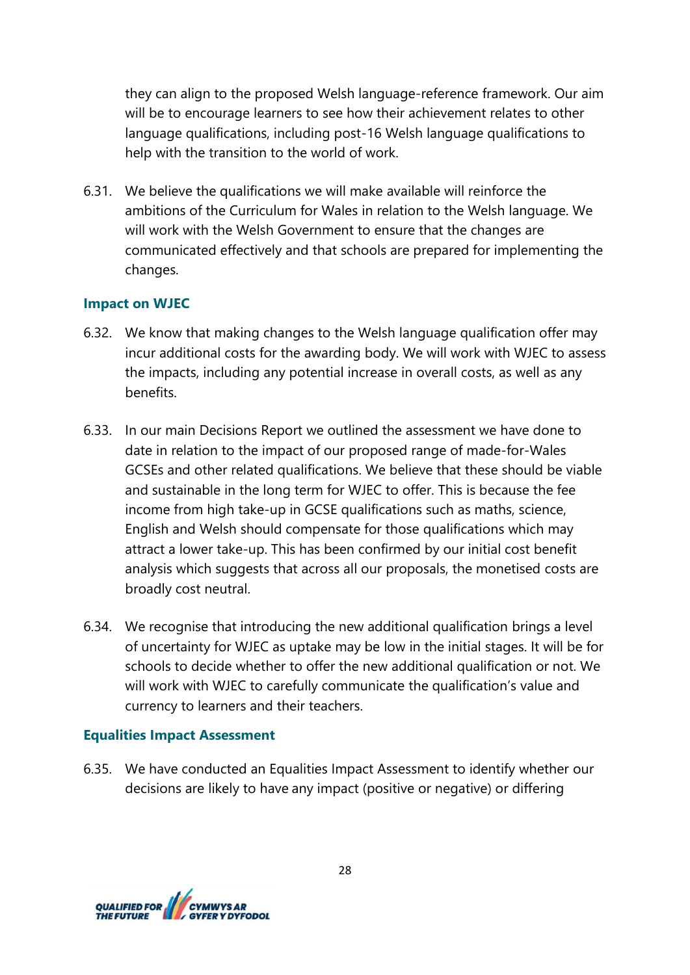they can align to the proposed Welsh language-reference framework. Our aim will be to encourage learners to see how their achievement relates to other language qualifications, including post-16 Welsh language qualifications to help with the transition to the world of work.

6.31. We believe the qualifications we will make available will reinforce the ambitions of the Curriculum for Wales in relation to the Welsh language. We will work with the Welsh Government to ensure that the changes are communicated effectively and that schools are prepared for implementing the changes.

### **Impact on WJEC**

- 6.32. We know that making changes to the Welsh language qualification offer may incur additional costs for the awarding body. We will work with WJEC to assess the impacts, including any potential increase in overall costs, as well as any benefits.
- 6.33. In our main Decisions Report we outlined the assessment we have done to date in relation to the impact of our proposed range of made-for-Wales GCSEs and other related qualifications. We believe that these should be viable and sustainable in the long term for WJEC to offer. This is because the fee income from high take-up in GCSE qualifications such as maths, science, English and Welsh should compensate for those qualifications which may attract a lower take-up. This has been confirmed by our initial cost benefit analysis which suggests that across all our proposals, the monetised costs are broadly cost neutral.
- 6.34. We recognise that introducing the new additional qualification brings a level of uncertainty for WJEC as uptake may be low in the initial stages. It will be for schools to decide whether to offer the new additional qualification or not. We will work with WJEC to carefully communicate the qualification's value and currency to learners and their teachers.

#### **Equalities Impact Assessment**

6.35. We have conducted an Equalities Impact Assessment to identify whether our decisions are likely to have any impact (positive or negative) or differing

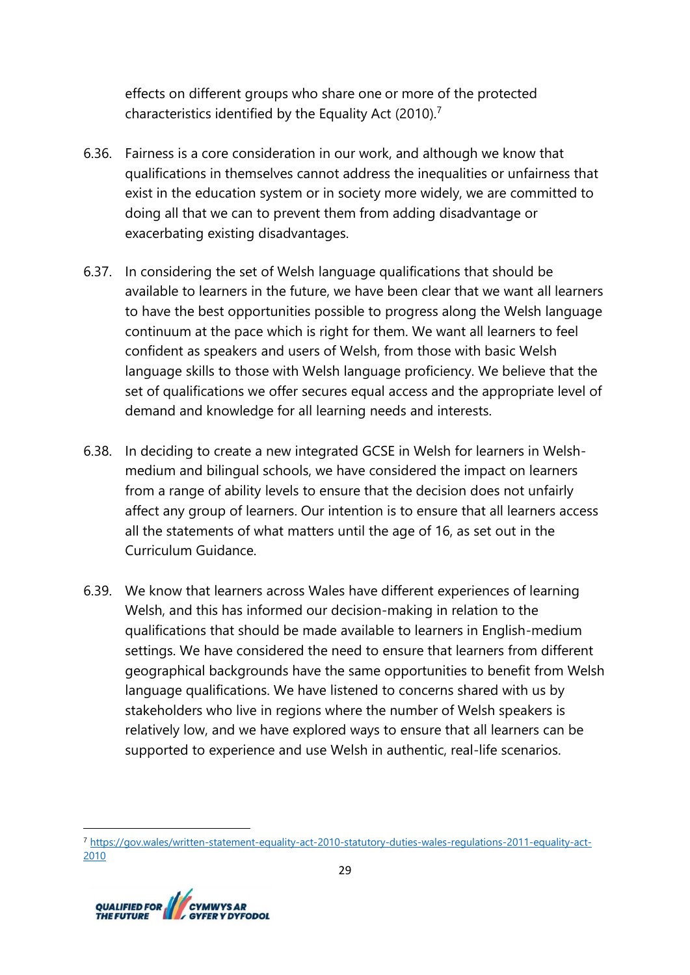effects on different groups who share one or more of the protected characteristics identified by the Equality Act (2010).<sup>7</sup>

- 6.36. Fairness is a core consideration in our work, and although we know that qualifications in themselves cannot address the inequalities or unfairness that exist in the education system or in society more widely, we are committed to doing all that we can to prevent them from adding disadvantage or exacerbating existing disadvantages.
- 6.37. In considering the set of Welsh language qualifications that should be available to learners in the future, we have been clear that we want all learners to have the best opportunities possible to progress along the Welsh language continuum at the pace which is right for them. We want all learners to feel confident as speakers and users of Welsh, from those with basic Welsh language skills to those with Welsh language proficiency. We believe that the set of qualifications we offer secures equal access and the appropriate level of demand and knowledge for all learning needs and interests.
- 6.38. In deciding to create a new integrated GCSE in Welsh for learners in Welshmedium and bilingual schools, we have considered the impact on learners from a range of ability levels to ensure that the decision does not unfairly affect any group of learners. Our intention is to ensure that all learners access all the statements of what matters until the age of 16, as set out in the Curriculum Guidance.
- 6.39. We know that learners across Wales have different experiences of learning Welsh, and this has informed our decision-making in relation to the qualifications that should be made available to learners in English-medium settings. We have considered the need to ensure that learners from different geographical backgrounds have the same opportunities to benefit from Welsh language qualifications. We have listened to concerns shared with us by stakeholders who live in regions where the number of Welsh speakers is relatively low, and we have explored ways to ensure that all learners can be supported to experience and use Welsh in authentic, real-life scenarios.

<sup>7</sup> [https://gov.wales/written-statement-equality-act-2010-statutory-duties-wales-regulations-2011-equality-act-](https://gov.wales/written-statement-equality-act-2010-statutory-duties-wales-regulations-2011-equality-act-2010)[2010](https://gov.wales/written-statement-equality-act-2010-statutory-duties-wales-regulations-2011-equality-act-2010)

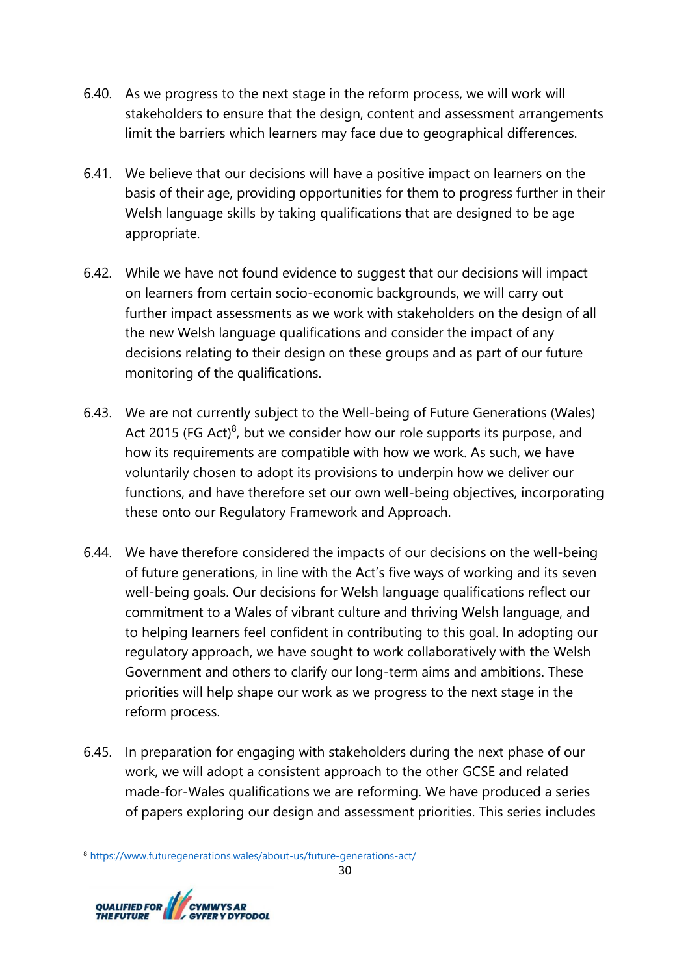- 6.40. As we progress to the next stage in the reform process, we will work will stakeholders to ensure that the design, content and assessment arrangements limit the barriers which learners may face due to geographical differences.
- 6.41. We believe that our decisions will have a positive impact on learners on the basis of their age, providing opportunities for them to progress further in their Welsh language skills by taking qualifications that are designed to be age appropriate.
- 6.42. While we have not found evidence to suggest that our decisions will impact on learners from certain socio-economic backgrounds, we will carry out further impact assessments as we work with stakeholders on the design of all the new Welsh language qualifications and consider the impact of any decisions relating to their design on these groups and as part of our future monitoring of the qualifications.
- 6.43. We are not currently subject to the Well-being of Future Generations (Wales) Act 2015 (FG Act) $<sup>8</sup>$ , but we consider how our role supports its purpose, and</sup> how its requirements are compatible with how we work. As such, we have voluntarily chosen to adopt its provisions to underpin how we deliver our functions, and have therefore set our own well-being objectives, incorporating these onto our Regulatory Framework and Approach.
- 6.44. We have therefore considered the impacts of our decisions on the well-being of future generations, in line with the Act's five ways of working and its seven well-being goals. Our decisions for Welsh language qualifications reflect our commitment to a Wales of vibrant culture and thriving Welsh language, and to helping learners feel confident in contributing to this goal. In adopting our regulatory approach, we have sought to work collaboratively with the Welsh Government and others to clarify our long-term aims and ambitions. These priorities will help shape our work as we progress to the next stage in the reform process.
- 6.45. In preparation for engaging with stakeholders during the next phase of our work, we will adopt a consistent approach to the other GCSE and related made-for-Wales qualifications we are reforming. We have produced a series of papers exploring our design and assessment priorities. This series includes

<sup>8</sup> <https://www.futuregenerations.wales/about-us/future-generations-act/>

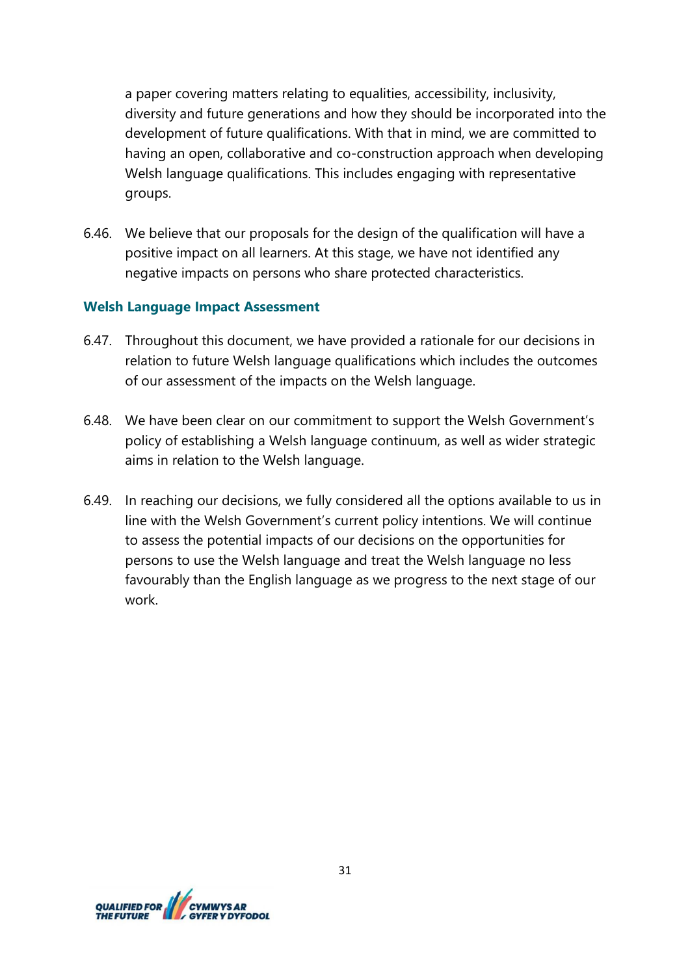a paper covering matters relating to equalities, accessibility, inclusivity, diversity and future generations and how they should be incorporated into the development of future qualifications. With that in mind, we are committed to having an open, collaborative and co-construction approach when developing Welsh language qualifications. This includes engaging with representative groups.

6.46. We believe that our proposals for the design of the qualification will have a positive impact on all learners. At this stage, we have not identified any negative impacts on persons who share protected characteristics.

#### **Welsh Language Impact Assessment**

- 6.47. Throughout this document, we have provided a rationale for our decisions in relation to future Welsh language qualifications which includes the outcomes of our assessment of the impacts on the Welsh language.
- 6.48. We have been clear on our commitment to support the Welsh Government's policy of establishing a Welsh language continuum, as well as wider strategic aims in relation to the Welsh language.
- 6.49. In reaching our decisions, we fully considered all the options available to us in line with the Welsh Government's current policy intentions. We will continue to assess the potential impacts of our decisions on the opportunities for persons to use the Welsh language and treat the Welsh language no less favourably than the English language as we progress to the next stage of our work.